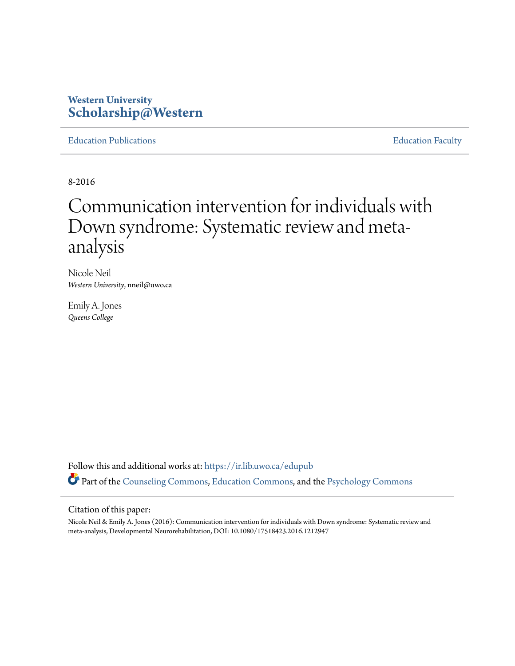### **Western University [Scholarship@Western](https://ir.lib.uwo.ca?utm_source=ir.lib.uwo.ca%2Fedupub%2F32&utm_medium=PDF&utm_campaign=PDFCoverPages)**

[Education Publications](https://ir.lib.uwo.ca/edupub?utm_source=ir.lib.uwo.ca%2Fedupub%2F32&utm_medium=PDF&utm_campaign=PDFCoverPages) **[Education Faculty](https://ir.lib.uwo.ca/edu?utm_source=ir.lib.uwo.ca%2Fedupub%2F32&utm_medium=PDF&utm_campaign=PDFCoverPages)** 

8-2016

# Communication intervention for individuals with Down syndrome: Systematic review and metaanalysis

Nicole Neil *Western University*, nneil@uwo.ca

Emily A. Jones *Queens College*

Follow this and additional works at: [https://ir.lib.uwo.ca/edupub](https://ir.lib.uwo.ca/edupub?utm_source=ir.lib.uwo.ca%2Fedupub%2F32&utm_medium=PDF&utm_campaign=PDFCoverPages) Part of the [Counseling Commons](http://network.bepress.com/hgg/discipline/1268?utm_source=ir.lib.uwo.ca%2Fedupub%2F32&utm_medium=PDF&utm_campaign=PDFCoverPages), [Education Commons](http://network.bepress.com/hgg/discipline/784?utm_source=ir.lib.uwo.ca%2Fedupub%2F32&utm_medium=PDF&utm_campaign=PDFCoverPages), and the [Psychology Commons](http://network.bepress.com/hgg/discipline/404?utm_source=ir.lib.uwo.ca%2Fedupub%2F32&utm_medium=PDF&utm_campaign=PDFCoverPages)

#### Citation of this paper:

Nicole Neil & Emily A. Jones (2016): Communication intervention for individuals with Down syndrome: Systematic review and meta-analysis, Developmental Neurorehabilitation, DOI: 10.1080/17518423.2016.1212947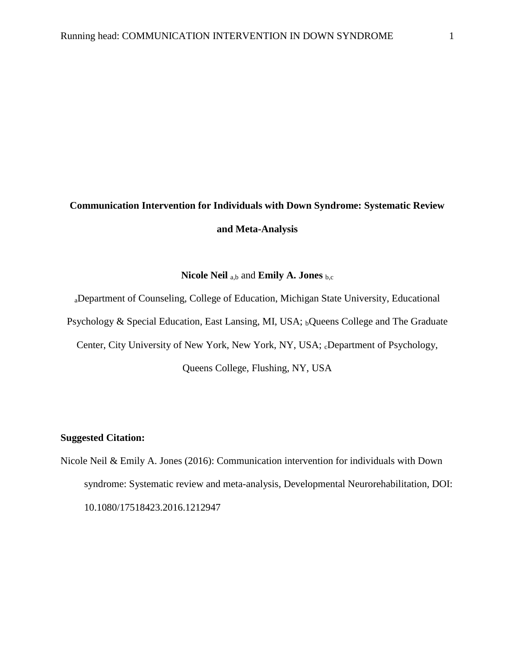## **Communication Intervention for Individuals with Down Syndrome: Systematic Review and Meta-Analysis**

#### **Nicole Neil** a,b and **Emily A. Jones** b,c

<sup>a</sup>Department of Counseling, College of Education, Michigan State University, Educational Psychology & Special Education, East Lansing, MI, USA; <sub>b</sub>Queens College and The Graduate Center, City University of New York, New York, NY, USA; cDepartment of Psychology, Queens College, Flushing, NY, USA

#### **Suggested Citation:**

Nicole Neil & Emily A. Jones (2016): Communication intervention for individuals with Down syndrome: Systematic review and meta-analysis, Developmental Neurorehabilitation, DOI: 10.1080/17518423.2016.1212947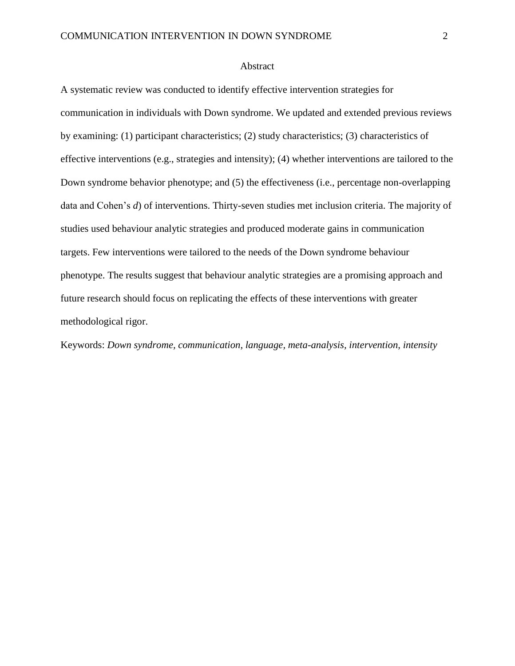#### Abstract

A systematic review was conducted to identify effective intervention strategies for communication in individuals with Down syndrome. We updated and extended previous reviews by examining: (1) participant characteristics; (2) study characteristics; (3) characteristics of effective interventions (e.g., strategies and intensity); (4) whether interventions are tailored to the Down syndrome behavior phenotype; and (5) the effectiveness (i.e., percentage non-overlapping data and Cohen's *d*) of interventions. Thirty-seven studies met inclusion criteria. The majority of studies used behaviour analytic strategies and produced moderate gains in communication targets. Few interventions were tailored to the needs of the Down syndrome behaviour phenotype. The results suggest that behaviour analytic strategies are a promising approach and future research should focus on replicating the effects of these interventions with greater methodological rigor.

Keywords: *Down syndrome, communication, language, meta-analysis, intervention, intensity*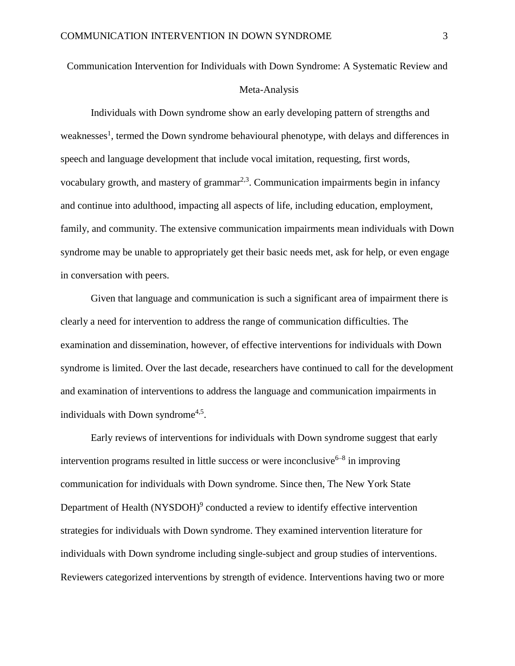### Communication Intervention for Individuals with Down Syndrome: A Systematic Review and

#### Meta-Analysis

Individuals with Down syndrome show an early developing pattern of strengths and weaknesses<sup>1</sup>, termed the Down syndrome behavioural phenotype, with delays and differences in speech and language development that include vocal imitation, requesting, first words, vocabulary growth, and mastery of grammar $^{2,3}$ . Communication impairments begin in infancy and continue into adulthood, impacting all aspects of life, including education, employment, family, and community. The extensive communication impairments mean individuals with Down syndrome may be unable to appropriately get their basic needs met, ask for help, or even engage in conversation with peers.

Given that language and communication is such a significant area of impairment there is clearly a need for intervention to address the range of communication difficulties. The examination and dissemination, however, of effective interventions for individuals with Down syndrome is limited. Over the last decade, researchers have continued to call for the development and examination of interventions to address the language and communication impairments in individuals with Down syndrome<sup>4,5</sup>.

Early reviews of interventions for individuals with Down syndrome suggest that early intervention programs resulted in little success or were inconclusive $6-8$  in improving communication for individuals with Down syndrome. Since then, The New York State Department of Health  $(NYSDOH)^9$  conducted a review to identify effective intervention strategies for individuals with Down syndrome. They examined intervention literature for individuals with Down syndrome including single-subject and group studies of interventions. Reviewers categorized interventions by strength of evidence. Interventions having two or more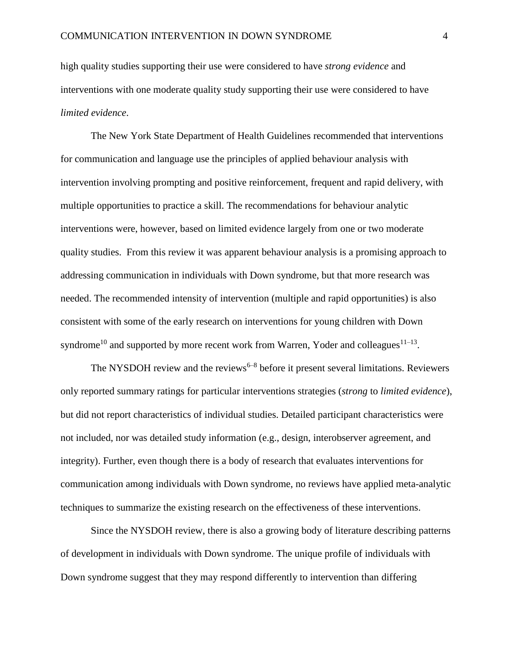high quality studies supporting their use were considered to have *strong evidence* and interventions with one moderate quality study supporting their use were considered to have *limited evidence*.

The New York State Department of Health Guidelines recommended that interventions for communication and language use the principles of applied behaviour analysis with intervention involving prompting and positive reinforcement, frequent and rapid delivery, with multiple opportunities to practice a skill. The recommendations for behaviour analytic interventions were, however, based on limited evidence largely from one or two moderate quality studies. From this review it was apparent behaviour analysis is a promising approach to addressing communication in individuals with Down syndrome, but that more research was needed. The recommended intensity of intervention (multiple and rapid opportunities) is also consistent with some of the early research on interventions for young children with Down syndrome<sup>10</sup> and supported by more recent work from Warren, Yoder and colleagues<sup>11–13</sup>.

The NYSDOH review and the reviews<sup> $6-8$ </sup> before it present several limitations. Reviewers only reported summary ratings for particular interventions strategies (*strong* to *limited evidence*), but did not report characteristics of individual studies. Detailed participant characteristics were not included, nor was detailed study information (e.g., design, interobserver agreement, and integrity). Further, even though there is a body of research that evaluates interventions for communication among individuals with Down syndrome, no reviews have applied meta-analytic techniques to summarize the existing research on the effectiveness of these interventions.

Since the NYSDOH review, there is also a growing body of literature describing patterns of development in individuals with Down syndrome. The unique profile of individuals with Down syndrome suggest that they may respond differently to intervention than differing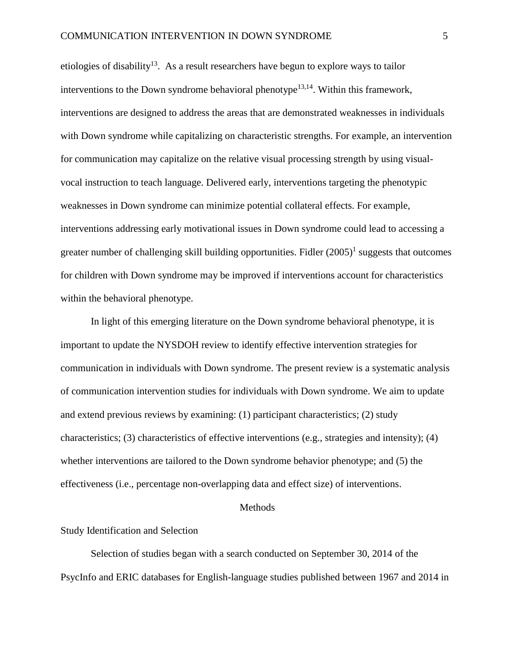etiologies of disability<sup>13</sup>. As a result researchers have begun to explore ways to tailor interventions to the Down syndrome behavioral phenotype<sup>13,14</sup>. Within this framework, interventions are designed to address the areas that are demonstrated weaknesses in individuals with Down syndrome while capitalizing on characteristic strengths. For example, an intervention for communication may capitalize on the relative visual processing strength by using visualvocal instruction to teach language. Delivered early, interventions targeting the phenotypic weaknesses in Down syndrome can minimize potential collateral effects. For example, interventions addressing early motivational issues in Down syndrome could lead to accessing a greater number of challenging skill building opportunities. Fidler  $(2005)^{1}$  suggests that outcomes for children with Down syndrome may be improved if interventions account for characteristics within the behavioral phenotype.

In light of this emerging literature on the Down syndrome behavioral phenotype, it is important to update the NYSDOH review to identify effective intervention strategies for communication in individuals with Down syndrome. The present review is a systematic analysis of communication intervention studies for individuals with Down syndrome. We aim to update and extend previous reviews by examining: (1) participant characteristics; (2) study characteristics; (3) characteristics of effective interventions (e.g., strategies and intensity); (4) whether interventions are tailored to the Down syndrome behavior phenotype; and (5) the effectiveness (i.e., percentage non-overlapping data and effect size) of interventions.

#### Methods

#### Study Identification and Selection

Selection of studies began with a search conducted on September 30, 2014 of the PsycInfo and ERIC databases for English-language studies published between 1967 and 2014 in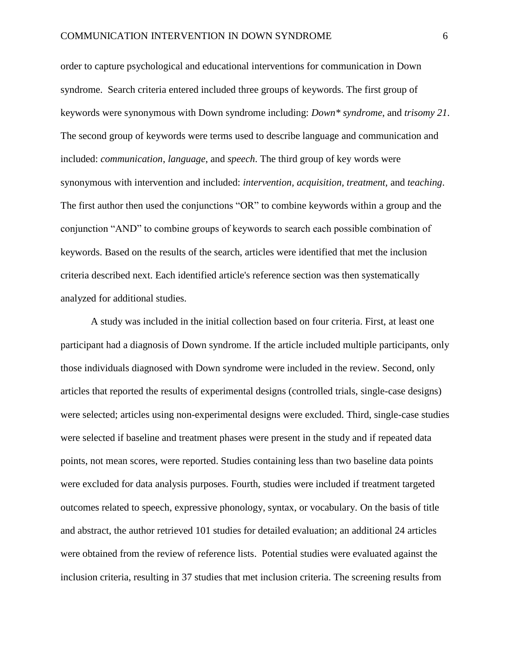order to capture psychological and educational interventions for communication in Down syndrome. Search criteria entered included three groups of keywords. The first group of keywords were synonymous with Down syndrome including: *Down\* syndrome*, and *trisomy 21*. The second group of keywords were terms used to describe language and communication and included: *communication*, *language*, and *speech*. The third group of key words were synonymous with intervention and included: *intervention, acquisition, treatment,* and *teaching*. The first author then used the conjunctions "OR" to combine keywords within a group and the conjunction "AND" to combine groups of keywords to search each possible combination of keywords. Based on the results of the search, articles were identified that met the inclusion criteria described next. Each identified article's reference section was then systematically analyzed for additional studies.

A study was included in the initial collection based on four criteria. First, at least one participant had a diagnosis of Down syndrome. If the article included multiple participants, only those individuals diagnosed with Down syndrome were included in the review. Second, only articles that reported the results of experimental designs (controlled trials, single-case designs) were selected; articles using non-experimental designs were excluded. Third, single-case studies were selected if baseline and treatment phases were present in the study and if repeated data points, not mean scores, were reported. Studies containing less than two baseline data points were excluded for data analysis purposes. Fourth, studies were included if treatment targeted outcomes related to speech, expressive phonology, syntax, or vocabulary. On the basis of title and abstract, the author retrieved 101 studies for detailed evaluation; an additional 24 articles were obtained from the review of reference lists. Potential studies were evaluated against the inclusion criteria, resulting in 37 studies that met inclusion criteria. The screening results from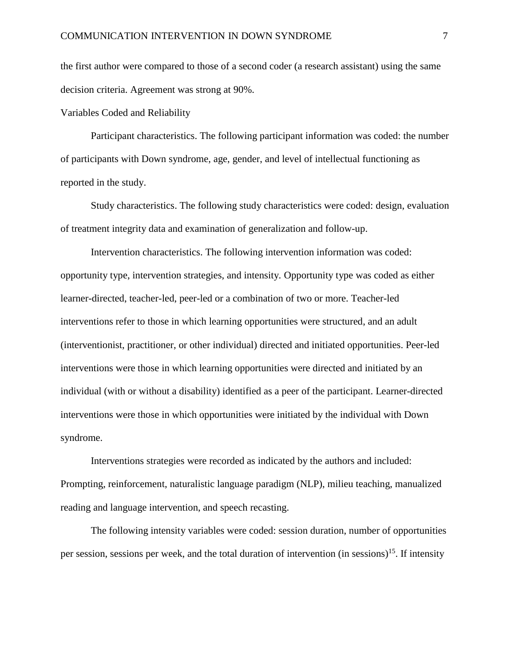the first author were compared to those of a second coder (a research assistant) using the same decision criteria. Agreement was strong at 90%.

Variables Coded and Reliability

Participant characteristics. The following participant information was coded: the number of participants with Down syndrome, age, gender, and level of intellectual functioning as reported in the study.

Study characteristics. The following study characteristics were coded: design, evaluation of treatment integrity data and examination of generalization and follow-up.

Intervention characteristics. The following intervention information was coded: opportunity type, intervention strategies, and intensity. Opportunity type was coded as either learner-directed, teacher-led, peer-led or a combination of two or more. Teacher-led interventions refer to those in which learning opportunities were structured, and an adult (interventionist, practitioner, or other individual) directed and initiated opportunities. Peer-led interventions were those in which learning opportunities were directed and initiated by an individual (with or without a disability) identified as a peer of the participant. Learner-directed interventions were those in which opportunities were initiated by the individual with Down syndrome.

Interventions strategies were recorded as indicated by the authors and included: Prompting, reinforcement, naturalistic language paradigm (NLP), milieu teaching, manualized reading and language intervention, and speech recasting.

The following intensity variables were coded: session duration, number of opportunities per session, sessions per week, and the total duration of intervention (in sessions)<sup>15</sup>. If intensity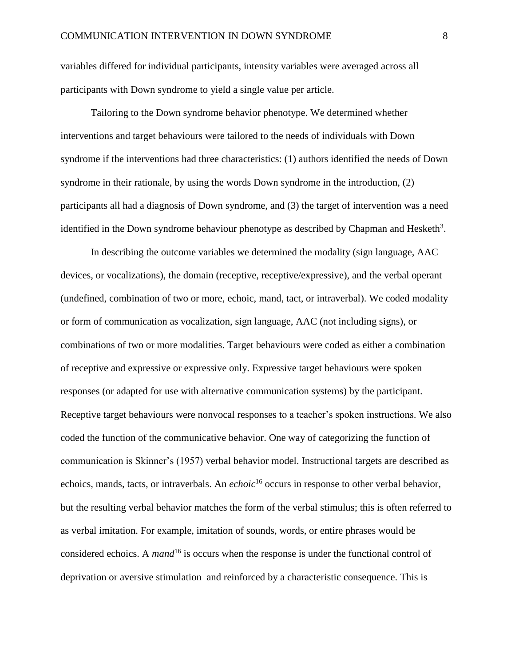variables differed for individual participants, intensity variables were averaged across all participants with Down syndrome to yield a single value per article.

Tailoring to the Down syndrome behavior phenotype. We determined whether interventions and target behaviours were tailored to the needs of individuals with Down syndrome if the interventions had three characteristics: (1) authors identified the needs of Down syndrome in their rationale, by using the words Down syndrome in the introduction, (2) participants all had a diagnosis of Down syndrome, and (3) the target of intervention was a need identified in the Down syndrome behaviour phenotype as described by Chapman and Hesketh<sup>3</sup>.

In describing the outcome variables we determined the modality (sign language, AAC devices, or vocalizations), the domain (receptive, receptive/expressive), and the verbal operant (undefined, combination of two or more, echoic, mand, tact, or intraverbal). We coded modality or form of communication as vocalization, sign language, AAC (not including signs), or combinations of two or more modalities. Target behaviours were coded as either a combination of receptive and expressive or expressive only. Expressive target behaviours were spoken responses (or adapted for use with alternative communication systems) by the participant. Receptive target behaviours were nonvocal responses to a teacher's spoken instructions. We also coded the function of the communicative behavior. One way of categorizing the function of communication is Skinner's (1957) verbal behavior model. Instructional targets are described as echoics, mands, tacts, or intraverbals. An *echoic*<sup>16</sup> occurs in response to other verbal behavior, but the resulting verbal behavior matches the form of the verbal stimulus; this is often referred to as verbal imitation. For example, imitation of sounds, words, or entire phrases would be considered echoics. A *mand*<sup>16</sup> is occurs when the response is under the functional control of deprivation or aversive stimulation and reinforced by a characteristic consequence. This is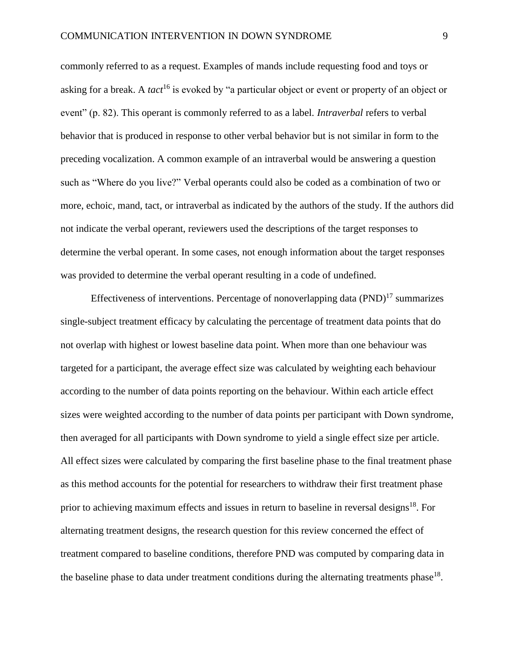commonly referred to as a request. Examples of mands include requesting food and toys or asking for a break. A *tact*<sup>16</sup> is evoked by "a particular object or event or property of an object or event" (p. 82). This operant is commonly referred to as a label. *Intraverbal* refers to verbal behavior that is produced in response to other verbal behavior but is not similar in form to the preceding vocalization. A common example of an intraverbal would be answering a question such as "Where do you live?" Verbal operants could also be coded as a combination of two or more, echoic, mand, tact, or intraverbal as indicated by the authors of the study. If the authors did not indicate the verbal operant, reviewers used the descriptions of the target responses to determine the verbal operant. In some cases, not enough information about the target responses was provided to determine the verbal operant resulting in a code of undefined.

Effectiveness of interventions. Percentage of nonoverlapping data (PND)<sup>17</sup> summarizes single-subject treatment efficacy by calculating the percentage of treatment data points that do not overlap with highest or lowest baseline data point. When more than one behaviour was targeted for a participant, the average effect size was calculated by weighting each behaviour according to the number of data points reporting on the behaviour. Within each article effect sizes were weighted according to the number of data points per participant with Down syndrome, then averaged for all participants with Down syndrome to yield a single effect size per article. All effect sizes were calculated by comparing the first baseline phase to the final treatment phase as this method accounts for the potential for researchers to withdraw their first treatment phase prior to achieving maximum effects and issues in return to baseline in reversal designs<sup>18</sup>. For alternating treatment designs, the research question for this review concerned the effect of treatment compared to baseline conditions, therefore PND was computed by comparing data in the baseline phase to data under treatment conditions during the alternating treatments phase  $18$ .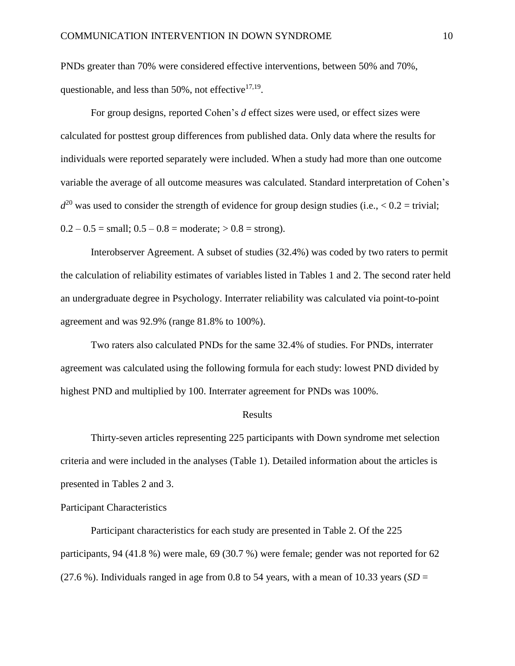PNDs greater than 70% were considered effective interventions, between 50% and 70%, questionable, and less than  $50\%$ , not effective $17,19$ .

For group designs, reported Cohen's *d* effect sizes were used, or effect sizes were calculated for posttest group differences from published data. Only data where the results for individuals were reported separately were included. When a study had more than one outcome variable the average of all outcome measures was calculated. Standard interpretation of Cohen's  $d^{20}$  was used to consider the strength of evidence for group design studies (i.e.,  $< 0.2$  = trivial;  $0.2 - 0.5 = \text{small}$ ;  $0.5 - 0.8 = \text{moderate}$ ;  $> 0.8 = \text{strong}$ ).

Interobserver Agreement. A subset of studies (32.4%) was coded by two raters to permit the calculation of reliability estimates of variables listed in Tables 1 and 2. The second rater held an undergraduate degree in Psychology. Interrater reliability was calculated via point-to-point agreement and was 92.9% (range 81.8% to 100%).

Two raters also calculated PNDs for the same 32.4% of studies. For PNDs, interrater agreement was calculated using the following formula for each study: lowest PND divided by highest PND and multiplied by 100. Interrater agreement for PNDs was 100%.

#### Results

Thirty-seven articles representing 225 participants with Down syndrome met selection criteria and were included in the analyses (Table 1). Detailed information about the articles is presented in Tables 2 and 3.

Participant Characteristics

Participant characteristics for each study are presented in Table 2. Of the 225 participants, 94 (41.8 %) were male, 69 (30.7 %) were female; gender was not reported for 62 (27.6 %). Individuals ranged in age from 0.8 to 54 years, with a mean of 10.33 years ( $SD =$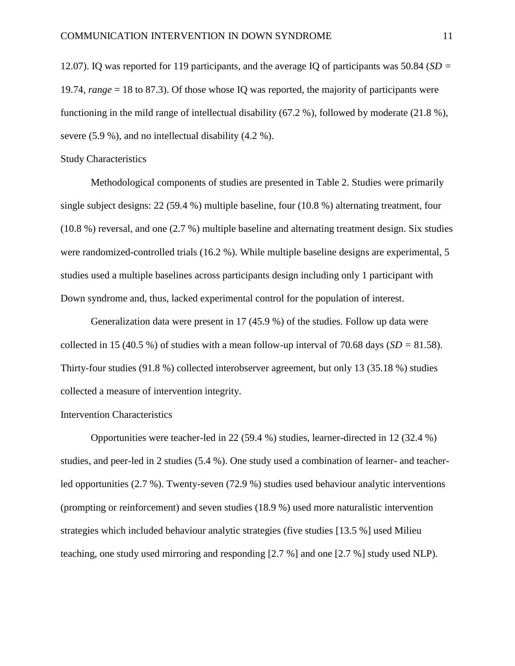12.07). IQ was reported for 119 participants, and the average IQ of participants was 50.84 (*SD =*  19.74, *range* = 18 to 87.3). Of those whose IQ was reported, the majority of participants were functioning in the mild range of intellectual disability (67.2 %), followed by moderate (21.8 %), severe (5.9 %), and no intellectual disability (4.2 %).

#### Study Characteristics

Methodological components of studies are presented in Table 2. Studies were primarily single subject designs: 22 (59.4 %) multiple baseline, four (10.8 %) alternating treatment, four (10.8 %) reversal, and one (2.7 %) multiple baseline and alternating treatment design. Six studies were randomized-controlled trials (16.2 %). While multiple baseline designs are experimental, 5 studies used a multiple baselines across participants design including only 1 participant with Down syndrome and, thus, lacked experimental control for the population of interest.

Generalization data were present in 17 (45.9 %) of the studies. Follow up data were collected in 15 (40.5 %) of studies with a mean follow-up interval of 70.68 days (*SD =* 81.58). Thirty-four studies (91.8 %) collected interobserver agreement, but only 13 (35.18 %) studies collected a measure of intervention integrity.

#### Intervention Characteristics

Opportunities were teacher-led in 22 (59.4 %) studies, learner-directed in 12 (32.4 %) studies, and peer-led in 2 studies (5.4 %). One study used a combination of learner- and teacherled opportunities (2.7 %). Twenty-seven (72.9 %) studies used behaviour analytic interventions (prompting or reinforcement) and seven studies (18.9 %) used more naturalistic intervention strategies which included behaviour analytic strategies (five studies [13.5 %] used Milieu teaching, one study used mirroring and responding [2.7 %] and one [2.7 %] study used NLP).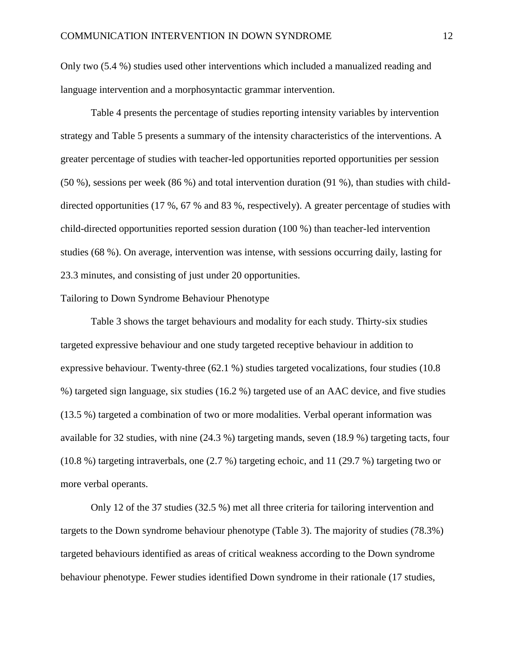Only two (5.4 %) studies used other interventions which included a manualized reading and language intervention and a morphosyntactic grammar intervention.

Table 4 presents the percentage of studies reporting intensity variables by intervention strategy and Table 5 presents a summary of the intensity characteristics of the interventions. A greater percentage of studies with teacher-led opportunities reported opportunities per session (50 %), sessions per week (86 %) and total intervention duration (91 %), than studies with childdirected opportunities (17 %, 67 % and 83 %, respectively). A greater percentage of studies with child-directed opportunities reported session duration (100 %) than teacher-led intervention studies (68 %). On average, intervention was intense, with sessions occurring daily, lasting for 23.3 minutes, and consisting of just under 20 opportunities.

#### Tailoring to Down Syndrome Behaviour Phenotype

Table 3 shows the target behaviours and modality for each study. Thirty-six studies targeted expressive behaviour and one study targeted receptive behaviour in addition to expressive behaviour. Twenty-three (62.1 %) studies targeted vocalizations, four studies (10.8 %) targeted sign language, six studies (16.2 %) targeted use of an AAC device, and five studies (13.5 %) targeted a combination of two or more modalities. Verbal operant information was available for 32 studies, with nine (24.3 %) targeting mands, seven (18.9 %) targeting tacts, four (10.8 %) targeting intraverbals, one (2.7 %) targeting echoic, and 11 (29.7 %) targeting two or more verbal operants.

Only 12 of the 37 studies (32.5 %) met all three criteria for tailoring intervention and targets to the Down syndrome behaviour phenotype (Table 3). The majority of studies (78.3%) targeted behaviours identified as areas of critical weakness according to the Down syndrome behaviour phenotype. Fewer studies identified Down syndrome in their rationale (17 studies,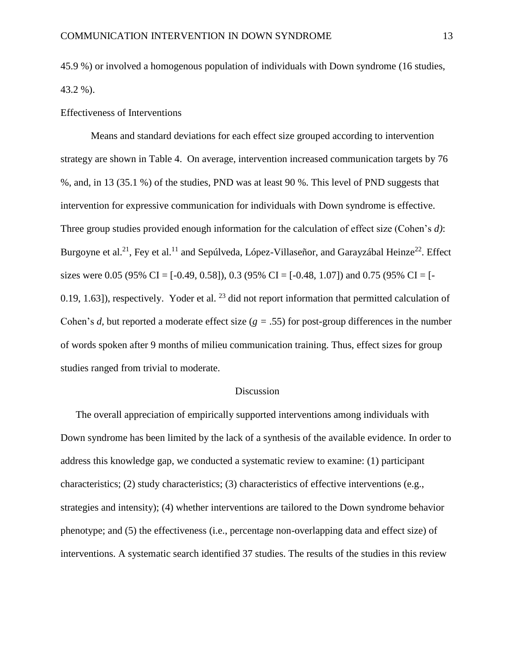45.9 %) or involved a homogenous population of individuals with Down syndrome (16 studies, 43.2 %).

Effectiveness of Interventions

Means and standard deviations for each effect size grouped according to intervention strategy are shown in Table 4. On average, intervention increased communication targets by 76 %, and, in 13 (35.1 %) of the studies, PND was at least 90 %. This level of PND suggests that intervention for expressive communication for individuals with Down syndrome is effective. Three group studies provided enough information for the calculation of effect size (Cohen's *d)*: Burgoyne et al.<sup>21</sup>, Fey et al.<sup>11</sup> and Sepúlveda, López-Villaseñor, and Garayzábal Heinze<sup>22</sup>. Effect sizes were 0.05 (95% CI = [-0.49, 0.58]), 0.3 (95% CI = [-0.48, 1.07]) and 0.75 (95% CI = [-0.19, 1.63]), respectively. Yoder et al.  $^{23}$  did not report information that permitted calculation of Cohen's *d,* but reported a moderate effect size (*g =* .55) for post-group differences in the number of words spoken after 9 months of milieu communication training. Thus, effect sizes for group studies ranged from trivial to moderate.

#### Discussion

The overall appreciation of empirically supported interventions among individuals with Down syndrome has been limited by the lack of a synthesis of the available evidence. In order to address this knowledge gap, we conducted a systematic review to examine: (1) participant characteristics; (2) study characteristics; (3) characteristics of effective interventions (e.g., strategies and intensity); (4) whether interventions are tailored to the Down syndrome behavior phenotype; and (5) the effectiveness (i.e., percentage non-overlapping data and effect size) of interventions. A systematic search identified 37 studies. The results of the studies in this review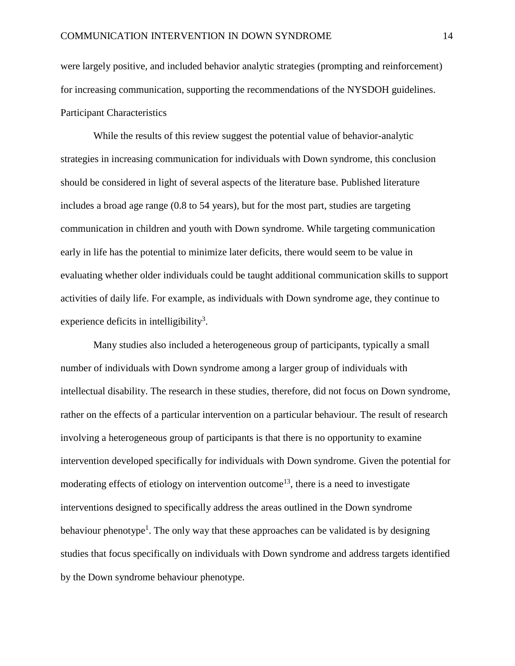were largely positive, and included behavior analytic strategies (prompting and reinforcement) for increasing communication, supporting the recommendations of the NYSDOH guidelines. Participant Characteristics

While the results of this review suggest the potential value of behavior-analytic strategies in increasing communication for individuals with Down syndrome, this conclusion should be considered in light of several aspects of the literature base. Published literature includes a broad age range (0.8 to 54 years), but for the most part, studies are targeting communication in children and youth with Down syndrome. While targeting communication early in life has the potential to minimize later deficits, there would seem to be value in evaluating whether older individuals could be taught additional communication skills to support activities of daily life. For example, as individuals with Down syndrome age, they continue to experience deficits in intelligibility<sup>3</sup>.

Many studies also included a heterogeneous group of participants, typically a small number of individuals with Down syndrome among a larger group of individuals with intellectual disability. The research in these studies, therefore, did not focus on Down syndrome, rather on the effects of a particular intervention on a particular behaviour. The result of research involving a heterogeneous group of participants is that there is no opportunity to examine intervention developed specifically for individuals with Down syndrome. Given the potential for moderating effects of etiology on intervention outcome<sup>13</sup>, there is a need to investigate interventions designed to specifically address the areas outlined in the Down syndrome behaviour phenotype<sup>1</sup>. The only way that these approaches can be validated is by designing studies that focus specifically on individuals with Down syndrome and address targets identified by the Down syndrome behaviour phenotype.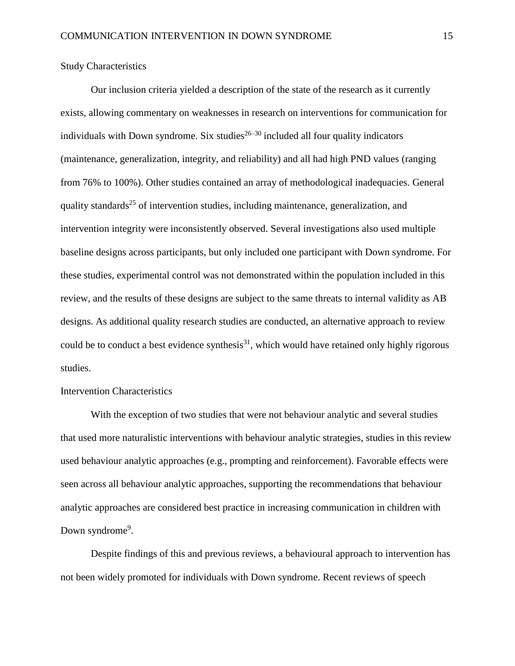Study Characteristics

Our inclusion criteria yielded a description of the state of the research as it currently exists, allowing commentary on weaknesses in research on interventions for communication for individuals with Down syndrome. Six studies $^{26-30}$  included all four quality indicators (maintenance, generalization, integrity, and reliability) and all had high PND values (ranging from 76% to 100%). Other studies contained an array of methodological inadequacies. General quality standards<sup>25</sup> of intervention studies, including maintenance, generalization, and intervention integrity were inconsistently observed. Several investigations also used multiple baseline designs across participants, but only included one participant with Down syndrome. For these studies, experimental control was not demonstrated within the population included in this review, and the results of these designs are subject to the same threats to internal validity as AB designs. As additional quality research studies are conducted, an alternative approach to review could be to conduct a best evidence synthesis $^{31}$ , which would have retained only highly rigorous studies.

#### Intervention Characteristics

With the exception of two studies that were not behaviour analytic and several studies that used more naturalistic interventions with behaviour analytic strategies, studies in this review used behaviour analytic approaches (e.g., prompting and reinforcement). Favorable effects were seen across all behaviour analytic approaches, supporting the recommendations that behaviour analytic approaches are considered best practice in increasing communication in children with Down syndrome<sup>9</sup>.

Despite findings of this and previous reviews, a behavioural approach to intervention has not been widely promoted for individuals with Down syndrome. Recent reviews of speech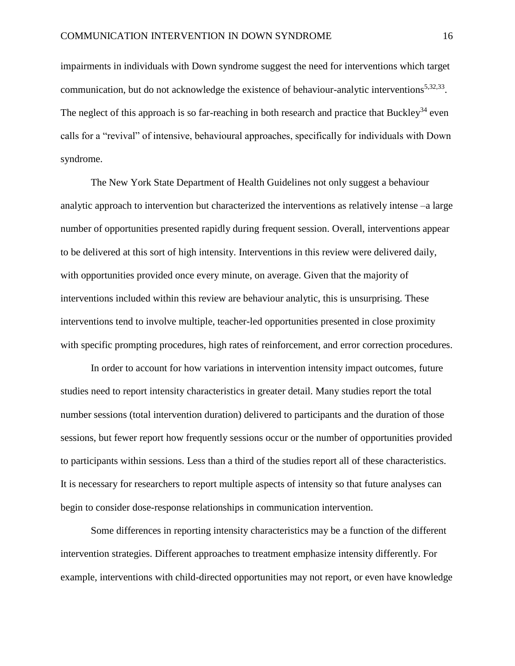impairments in individuals with Down syndrome suggest the need for interventions which target communication, but do not acknowledge the existence of behaviour-analytic interventions<sup>5,32,33</sup>. The neglect of this approach is so far-reaching in both research and practice that Buckley<sup>34</sup> even calls for a "revival" of intensive, behavioural approaches, specifically for individuals with Down syndrome.

The New York State Department of Health Guidelines not only suggest a behaviour analytic approach to intervention but characterized the interventions as relatively intense –a large number of opportunities presented rapidly during frequent session. Overall, interventions appear to be delivered at this sort of high intensity. Interventions in this review were delivered daily, with opportunities provided once every minute, on average. Given that the majority of interventions included within this review are behaviour analytic, this is unsurprising. These interventions tend to involve multiple, teacher-led opportunities presented in close proximity with specific prompting procedures, high rates of reinforcement, and error correction procedures.

In order to account for how variations in intervention intensity impact outcomes, future studies need to report intensity characteristics in greater detail. Many studies report the total number sessions (total intervention duration) delivered to participants and the duration of those sessions, but fewer report how frequently sessions occur or the number of opportunities provided to participants within sessions. Less than a third of the studies report all of these characteristics. It is necessary for researchers to report multiple aspects of intensity so that future analyses can begin to consider dose-response relationships in communication intervention.

Some differences in reporting intensity characteristics may be a function of the different intervention strategies. Different approaches to treatment emphasize intensity differently. For example, interventions with child-directed opportunities may not report, or even have knowledge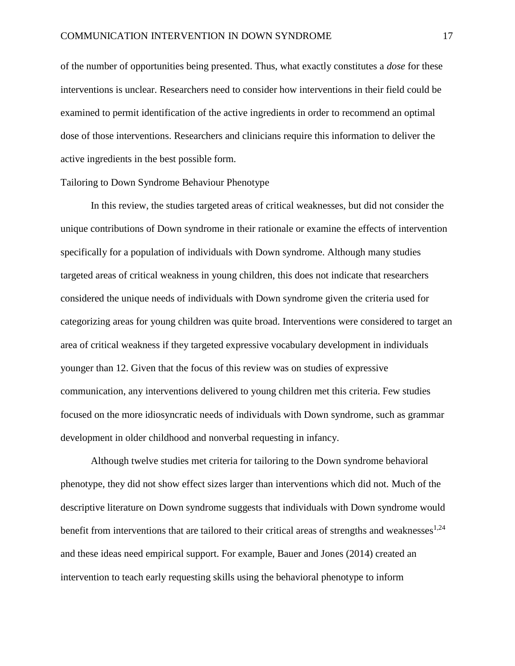of the number of opportunities being presented. Thus, what exactly constitutes a *dose* for these interventions is unclear. Researchers need to consider how interventions in their field could be examined to permit identification of the active ingredients in order to recommend an optimal dose of those interventions. Researchers and clinicians require this information to deliver the active ingredients in the best possible form.

#### Tailoring to Down Syndrome Behaviour Phenotype

In this review, the studies targeted areas of critical weaknesses, but did not consider the unique contributions of Down syndrome in their rationale or examine the effects of intervention specifically for a population of individuals with Down syndrome. Although many studies targeted areas of critical weakness in young children, this does not indicate that researchers considered the unique needs of individuals with Down syndrome given the criteria used for categorizing areas for young children was quite broad. Interventions were considered to target an area of critical weakness if they targeted expressive vocabulary development in individuals younger than 12. Given that the focus of this review was on studies of expressive communication, any interventions delivered to young children met this criteria. Few studies focused on the more idiosyncratic needs of individuals with Down syndrome, such as grammar development in older childhood and nonverbal requesting in infancy.

Although twelve studies met criteria for tailoring to the Down syndrome behavioral phenotype, they did not show effect sizes larger than interventions which did not. Much of the descriptive literature on Down syndrome suggests that individuals with Down syndrome would benefit from interventions that are tailored to their critical areas of strengths and weaknesses<sup>1,24</sup> and these ideas need empirical support. For example, Bauer and Jones (2014) created an intervention to teach early requesting skills using the behavioral phenotype to inform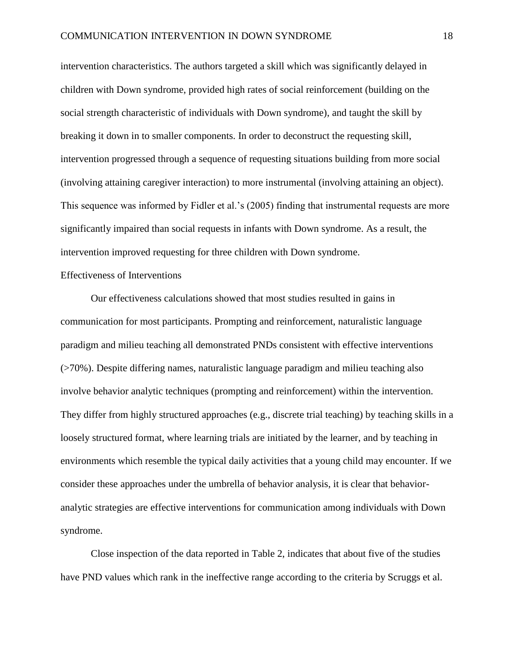intervention characteristics. The authors targeted a skill which was significantly delayed in children with Down syndrome, provided high rates of social reinforcement (building on the social strength characteristic of individuals with Down syndrome), and taught the skill by breaking it down in to smaller components. In order to deconstruct the requesting skill, intervention progressed through a sequence of requesting situations building from more social (involving attaining caregiver interaction) to more instrumental (involving attaining an object). This sequence was informed by Fidler et al.'s (2005) finding that instrumental requests are more significantly impaired than social requests in infants with Down syndrome. As a result, the intervention improved requesting for three children with Down syndrome.

#### Effectiveness of Interventions

Our effectiveness calculations showed that most studies resulted in gains in communication for most participants. Prompting and reinforcement, naturalistic language paradigm and milieu teaching all demonstrated PNDs consistent with effective interventions (>70%). Despite differing names, naturalistic language paradigm and milieu teaching also involve behavior analytic techniques (prompting and reinforcement) within the intervention. They differ from highly structured approaches (e.g., discrete trial teaching) by teaching skills in a loosely structured format, where learning trials are initiated by the learner, and by teaching in environments which resemble the typical daily activities that a young child may encounter. If we consider these approaches under the umbrella of behavior analysis, it is clear that behavioranalytic strategies are effective interventions for communication among individuals with Down syndrome.

Close inspection of the data reported in Table 2, indicates that about five of the studies have PND values which rank in the ineffective range according to the criteria by Scruggs et al.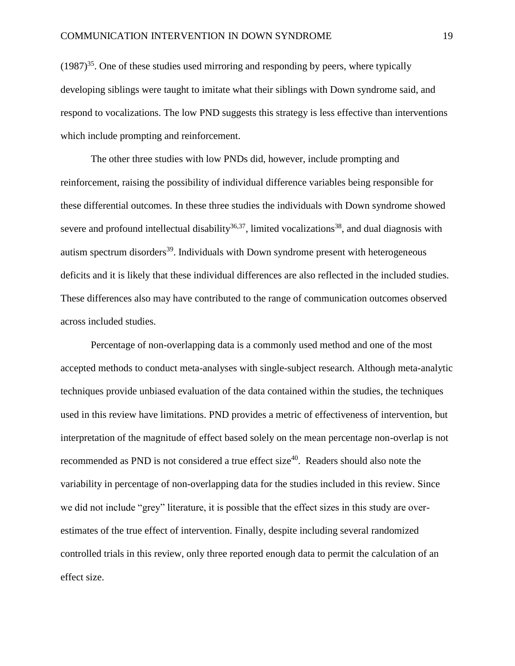$(1987)^{35}$ . One of these studies used mirroring and responding by peers, where typically developing siblings were taught to imitate what their siblings with Down syndrome said, and respond to vocalizations. The low PND suggests this strategy is less effective than interventions which include prompting and reinforcement.

The other three studies with low PNDs did, however, include prompting and reinforcement, raising the possibility of individual difference variables being responsible for these differential outcomes. In these three studies the individuals with Down syndrome showed severe and profound intellectual disability<sup>36,37</sup>, limited vocalizations<sup>38</sup>, and dual diagnosis with autism spectrum disorders<sup>39</sup>. Individuals with Down syndrome present with heterogeneous deficits and it is likely that these individual differences are also reflected in the included studies. These differences also may have contributed to the range of communication outcomes observed across included studies.

Percentage of non-overlapping data is a commonly used method and one of the most accepted methods to conduct meta-analyses with single-subject research. Although meta-analytic techniques provide unbiased evaluation of the data contained within the studies, the techniques used in this review have limitations. PND provides a metric of effectiveness of intervention, but interpretation of the magnitude of effect based solely on the mean percentage non-overlap is not recommended as PND is not considered a true effect size<sup>40</sup>. Readers should also note the variability in percentage of non-overlapping data for the studies included in this review. Since we did not include "grey" literature, it is possible that the effect sizes in this study are overestimates of the true effect of intervention. Finally, despite including several randomized controlled trials in this review, only three reported enough data to permit the calculation of an effect size.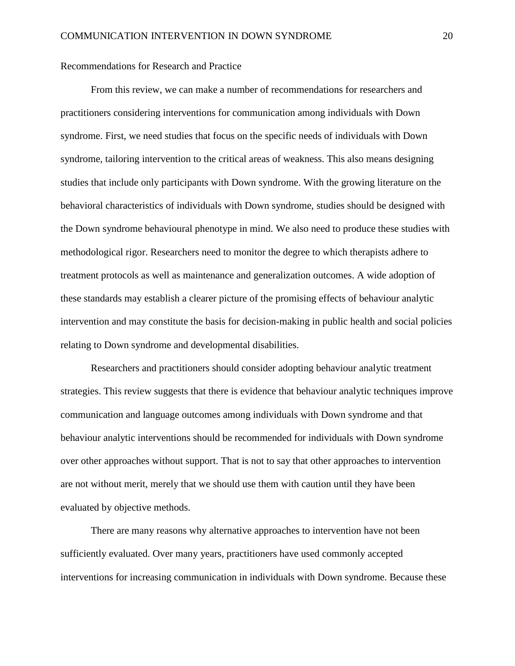#### Recommendations for Research and Practice

From this review, we can make a number of recommendations for researchers and practitioners considering interventions for communication among individuals with Down syndrome. First, we need studies that focus on the specific needs of individuals with Down syndrome, tailoring intervention to the critical areas of weakness. This also means designing studies that include only participants with Down syndrome. With the growing literature on the behavioral characteristics of individuals with Down syndrome, studies should be designed with the Down syndrome behavioural phenotype in mind. We also need to produce these studies with methodological rigor. Researchers need to monitor the degree to which therapists adhere to treatment protocols as well as maintenance and generalization outcomes. A wide adoption of these standards may establish a clearer picture of the promising effects of behaviour analytic intervention and may constitute the basis for decision-making in public health and social policies relating to Down syndrome and developmental disabilities.

Researchers and practitioners should consider adopting behaviour analytic treatment strategies. This review suggests that there is evidence that behaviour analytic techniques improve communication and language outcomes among individuals with Down syndrome and that behaviour analytic interventions should be recommended for individuals with Down syndrome over other approaches without support. That is not to say that other approaches to intervention are not without merit, merely that we should use them with caution until they have been evaluated by objective methods.

There are many reasons why alternative approaches to intervention have not been sufficiently evaluated. Over many years, practitioners have used commonly accepted interventions for increasing communication in individuals with Down syndrome. Because these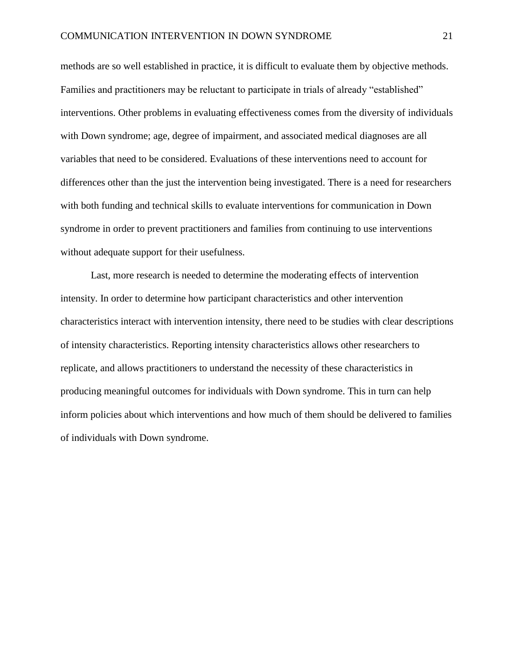methods are so well established in practice, it is difficult to evaluate them by objective methods. Families and practitioners may be reluctant to participate in trials of already "established" interventions. Other problems in evaluating effectiveness comes from the diversity of individuals with Down syndrome; age, degree of impairment, and associated medical diagnoses are all variables that need to be considered. Evaluations of these interventions need to account for differences other than the just the intervention being investigated. There is a need for researchers with both funding and technical skills to evaluate interventions for communication in Down syndrome in order to prevent practitioners and families from continuing to use interventions without adequate support for their usefulness.

Last, more research is needed to determine the moderating effects of intervention intensity. In order to determine how participant characteristics and other intervention characteristics interact with intervention intensity, there need to be studies with clear descriptions of intensity characteristics. Reporting intensity characteristics allows other researchers to replicate, and allows practitioners to understand the necessity of these characteristics in producing meaningful outcomes for individuals with Down syndrome. This in turn can help inform policies about which interventions and how much of them should be delivered to families of individuals with Down syndrome.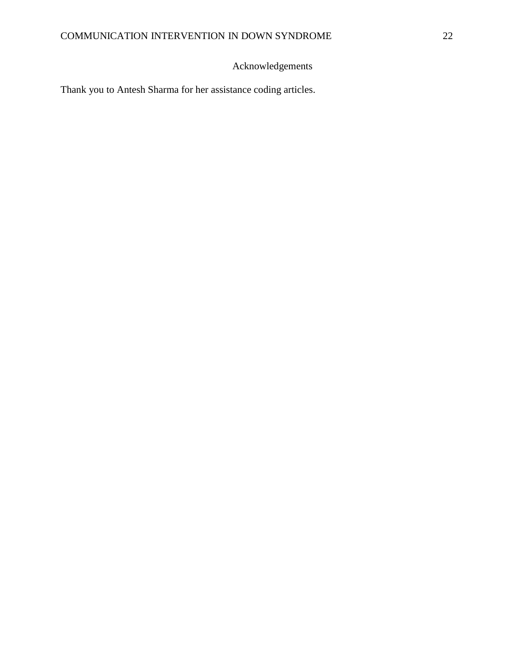### Acknowledgements

Thank you to Antesh Sharma for her assistance coding articles.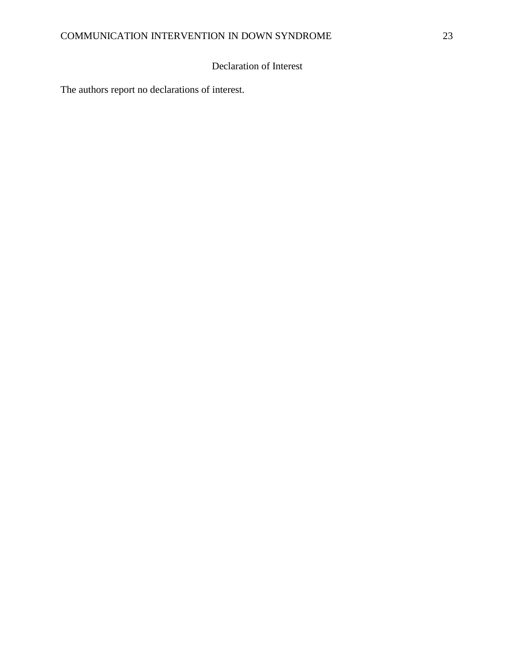### Declaration of Interest

The authors report no declarations of interest.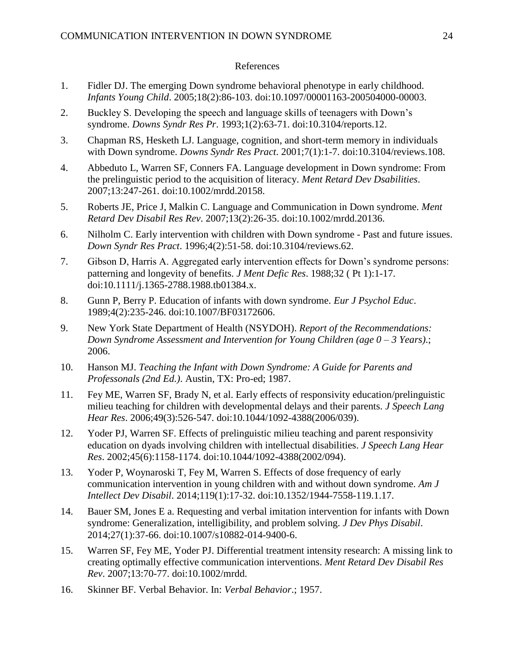#### References

- 1. Fidler DJ. The emerging Down syndrome behavioral phenotype in early childhood. *Infants Young Child*. 2005;18(2):86-103. doi:10.1097/00001163-200504000-00003.
- 2. Buckley S. Developing the speech and language skills of teenagers with Down's syndrome. *Downs Syndr Res Pr*. 1993;1(2):63-71. doi:10.3104/reports.12.
- 3. Chapman RS, Hesketh LJ. Language, cognition, and short-term memory in individuals with Down syndrome. *Downs Syndr Res Pract*. 2001;7(1):1-7. doi:10.3104/reviews.108.
- 4. Abbeduto L, Warren SF, Conners FA. Language development in Down syndrome: From the prelinguistic period to the acquisition of literacy. *Ment Retard Dev Dsabilities*. 2007;13:247-261. doi:10.1002/mrdd.20158.
- 5. Roberts JE, Price J, Malkin C. Language and Communication in Down syndrome. *Ment Retard Dev Disabil Res Rev*. 2007;13(2):26-35. doi:10.1002/mrdd.20136.
- 6. Nilholm C. Early intervention with children with Down syndrome Past and future issues. *Down Syndr Res Pract*. 1996;4(2):51-58. doi:10.3104/reviews.62.
- 7. Gibson D, Harris A. Aggregated early intervention effects for Down's syndrome persons: patterning and longevity of benefits. *J Ment Defic Res*. 1988;32 ( Pt 1):1-17. doi:10.1111/j.1365-2788.1988.tb01384.x.
- 8. Gunn P, Berry P. Education of infants with down syndrome. *Eur J Psychol Educ*. 1989;4(2):235-246. doi:10.1007/BF03172606.
- 9. New York State Department of Health (NSYDOH). *Report of the Recommendations: Down Syndrome Assessment and Intervention for Young Children (age 0 – 3 Years)*.; 2006.
- 10. Hanson MJ. *Teaching the Infant with Down Syndrome: A Guide for Parents and Professonals (2nd Ed.)*. Austin, TX: Pro-ed; 1987.
- 11. Fey ME, Warren SF, Brady N, et al. Early effects of responsivity education/prelinguistic milieu teaching for children with developmental delays and their parents. *J Speech Lang Hear Res*. 2006;49(3):526-547. doi:10.1044/1092-4388(2006/039).
- 12. Yoder PJ, Warren SF. Effects of prelinguistic milieu teaching and parent responsivity education on dyads involving children with intellectual disabilities. *J Speech Lang Hear Res*. 2002;45(6):1158-1174. doi:10.1044/1092-4388(2002/094).
- 13. Yoder P, Woynaroski T, Fey M, Warren S. Effects of dose frequency of early communication intervention in young children with and without down syndrome. *Am J Intellect Dev Disabil*. 2014;119(1):17-32. doi:10.1352/1944-7558-119.1.17.
- 14. Bauer SM, Jones E a. Requesting and verbal imitation intervention for infants with Down syndrome: Generalization, intelligibility, and problem solving. *J Dev Phys Disabil*. 2014;27(1):37-66. doi:10.1007/s10882-014-9400-6.
- 15. Warren SF, Fey ME, Yoder PJ. Differential treatment intensity research: A missing link to creating optimally effective communication interventions. *Ment Retard Dev Disabil Res Rev*. 2007;13:70-77. doi:10.1002/mrdd.
- 16. Skinner BF. Verbal Behavior. In: *Verbal Behavior*.; 1957.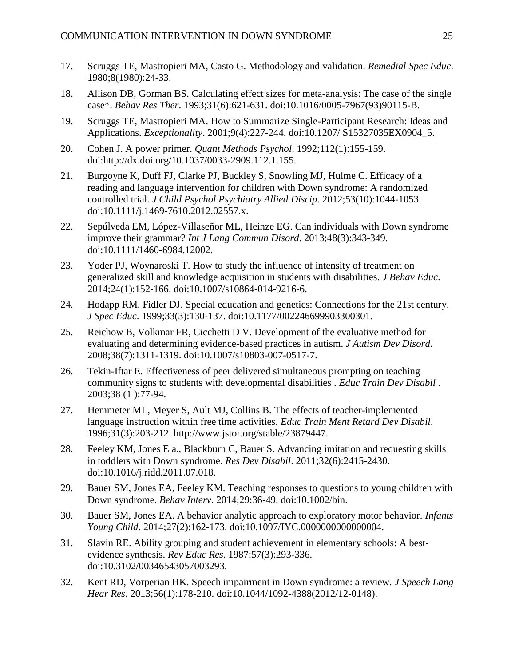- 17. Scruggs TE, Mastropieri MA, Casto G. Methodology and validation. *Remedial Spec Educ*. 1980;8(1980):24-33.
- 18. Allison DB, Gorman BS. Calculating effect sizes for meta-analysis: The case of the single case\*. *Behav Res Ther*. 1993;31(6):621-631. doi:10.1016/0005-7967(93)90115-B.
- 19. Scruggs TE, Mastropieri MA. How to Summarize Single-Participant Research: Ideas and Applications. *Exceptionality*. 2001;9(4):227-244. doi:10.1207/ S15327035EX0904\_5.
- 20. Cohen J. A power primer. *Quant Methods Psychol*. 1992;112(1):155-159. doi:http://dx.doi.org/10.1037/0033-2909.112.1.155.
- 21. Burgoyne K, Duff FJ, Clarke PJ, Buckley S, Snowling MJ, Hulme C. Efficacy of a reading and language intervention for children with Down syndrome: A randomized controlled trial. *J Child Psychol Psychiatry Allied Discip*. 2012;53(10):1044-1053. doi:10.1111/j.1469-7610.2012.02557.x.
- 22. Sepúlveda EM, López-Villaseñor ML, Heinze EG. Can individuals with Down syndrome improve their grammar? *Int J Lang Commun Disord*. 2013;48(3):343-349. doi:10.1111/1460-6984.12002.
- 23. Yoder PJ, Woynaroski T. How to study the influence of intensity of treatment on generalized skill and knowledge acquisition in students with disabilities. *J Behav Educ*. 2014;24(1):152-166. doi:10.1007/s10864-014-9216-6.
- 24. Hodapp RM, Fidler DJ. Special education and genetics: Connections for the 21st century. *J Spec Educ*. 1999;33(3):130-137. doi:10.1177/002246699903300301.
- 25. Reichow B, Volkmar FR, Cicchetti D V. Development of the evaluative method for evaluating and determining evidence-based practices in autism. *J Autism Dev Disord*. 2008;38(7):1311-1319. doi:10.1007/s10803-007-0517-7.
- 26. Tekin-Iftar E. Effectiveness of peer delivered simultaneous prompting on teaching community signs to students with developmental disabilities . *Educ Train Dev Disabil* . 2003;38 (1 ):77-94.
- 27. Hemmeter ML, Meyer S, Ault MJ, Collins B. The effects of teacher-implemented language instruction within free time activities. *Educ Train Ment Retard Dev Disabil*. 1996;31(3):203-212. http://www.jstor.org/stable/23879447.
- 28. Feeley KM, Jones E a., Blackburn C, Bauer S. Advancing imitation and requesting skills in toddlers with Down syndrome. *Res Dev Disabil*. 2011;32(6):2415-2430. doi:10.1016/j.ridd.2011.07.018.
- 29. Bauer SM, Jones EA, Feeley KM. Teaching responses to questions to young children with Down syndrome. *Behav Interv*. 2014;29:36-49. doi:10.1002/bin.
- 30. Bauer SM, Jones EA. A behavior analytic approach to exploratory motor behavior. *Infants Young Child*. 2014;27(2):162-173. doi:10.1097/IYC.0000000000000004.
- 31. Slavin RE. Ability grouping and student achievement in elementary schools: A bestevidence synthesis. *Rev Educ Res*. 1987;57(3):293-336. doi:10.3102/00346543057003293.
- 32. Kent RD, Vorperian HK. Speech impairment in Down syndrome: a review. *J Speech Lang Hear Res*. 2013;56(1):178-210. doi:10.1044/1092-4388(2012/12-0148).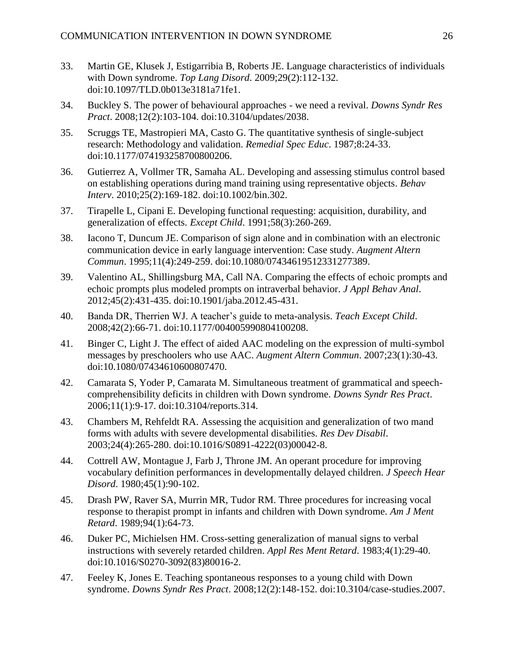- 33. Martin GE, Klusek J, Estigarribia B, Roberts JE. Language characteristics of individuals with Down syndrome. *Top Lang Disord*. 2009;29(2):112-132. doi:10.1097/TLD.0b013e3181a71fe1.
- 34. Buckley S. The power of behavioural approaches we need a revival. *Downs Syndr Res Pract*. 2008;12(2):103-104. doi:10.3104/updates/2038.
- 35. Scruggs TE, Mastropieri MA, Casto G. The quantitative synthesis of single-subject research: Methodology and validation. *Remedial Spec Educ*. 1987;8:24-33. doi:10.1177/074193258700800206.
- 36. Gutierrez A, Vollmer TR, Samaha AL. Developing and assessing stimulus control based on establishing operations during mand training using representative objects. *Behav Interv*. 2010;25(2):169-182. doi:10.1002/bin.302.
- 37. Tirapelle L, Cipani E. Developing functional requesting: acquisition, durability, and generalization of effects. *Except Child*. 1991;58(3):260-269.
- 38. Iacono T, Duncum JE. Comparison of sign alone and in combination with an electronic communication device in early language intervention: Case study. *Augment Altern Commun*. 1995;11(4):249-259. doi:10.1080/07434619512331277389.
- 39. Valentino AL, Shillingsburg MA, Call NA. Comparing the effects of echoic prompts and echoic prompts plus modeled prompts on intraverbal behavior. *J Appl Behav Anal*. 2012;45(2):431-435. doi:10.1901/jaba.2012.45-431.
- 40. Banda DR, Therrien WJ. A teacher's guide to meta-analysis. *Teach Except Child*. 2008;42(2):66-71. doi:10.1177/004005990804100208.
- 41. Binger C, Light J. The effect of aided AAC modeling on the expression of multi-symbol messages by preschoolers who use AAC. *Augment Altern Commun*. 2007;23(1):30-43. doi:10.1080/07434610600807470.
- 42. Camarata S, Yoder P, Camarata M. Simultaneous treatment of grammatical and speechcomprehensibility deficits in children with Down syndrome. *Downs Syndr Res Pract*. 2006;11(1):9-17. doi:10.3104/reports.314.
- 43. Chambers M, Rehfeldt RA. Assessing the acquisition and generalization of two mand forms with adults with severe developmental disabilities. *Res Dev Disabil*. 2003;24(4):265-280. doi:10.1016/S0891-4222(03)00042-8.
- 44. Cottrell AW, Montague J, Farb J, Throne JM. An operant procedure for improving vocabulary definition performances in developmentally delayed children. *J Speech Hear Disord*. 1980;45(1):90-102.
- 45. Drash PW, Raver SA, Murrin MR, Tudor RM. Three procedures for increasing vocal response to therapist prompt in infants and children with Down syndrome. *Am J Ment Retard*. 1989;94(1):64-73.
- 46. Duker PC, Michielsen HM. Cross-setting generalization of manual signs to verbal instructions with severely retarded children. *Appl Res Ment Retard*. 1983;4(1):29-40. doi:10.1016/S0270-3092(83)80016-2.
- 47. Feeley K, Jones E. Teaching spontaneous responses to a young child with Down syndrome. *Downs Syndr Res Pract*. 2008;12(2):148-152. doi:10.3104/case-studies.2007.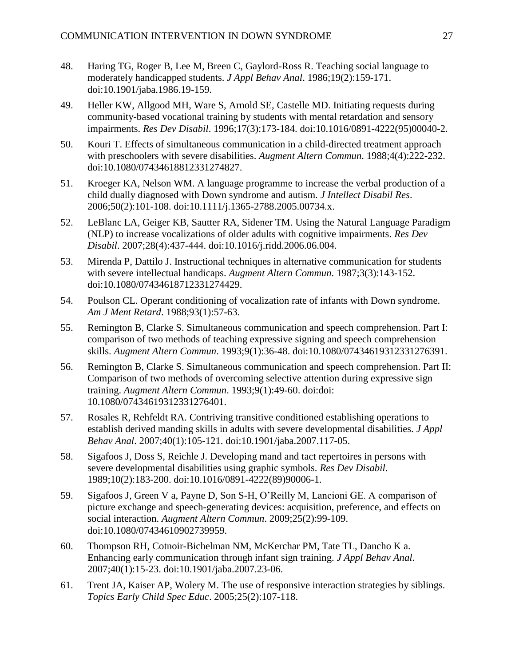- 48. Haring TG, Roger B, Lee M, Breen C, Gaylord-Ross R. Teaching social language to moderately handicapped students. *J Appl Behav Anal*. 1986;19(2):159-171. doi:10.1901/jaba.1986.19-159.
- 49. Heller KW, Allgood MH, Ware S, Arnold SE, Castelle MD. Initiating requests during community-based vocational training by students with mental retardation and sensory impairments. *Res Dev Disabil*. 1996;17(3):173-184. doi:10.1016/0891-4222(95)00040-2.
- 50. Kouri T. Effects of simultaneous communication in a child-directed treatment approach with preschoolers with severe disabilities. *Augment Altern Commun*. 1988;4(4):222-232. doi:10.1080/07434618812331274827.
- 51. Kroeger KA, Nelson WM. A language programme to increase the verbal production of a child dually diagnosed with Down syndrome and autism. *J Intellect Disabil Res*. 2006;50(2):101-108. doi:10.1111/j.1365-2788.2005.00734.x.
- 52. LeBlanc LA, Geiger KB, Sautter RA, Sidener TM. Using the Natural Language Paradigm (NLP) to increase vocalizations of older adults with cognitive impairments. *Res Dev Disabil*. 2007;28(4):437-444. doi:10.1016/j.ridd.2006.06.004.
- 53. Mirenda P, Dattilo J. Instructional techniques in alternative communication for students with severe intellectual handicaps. *Augment Altern Commun*. 1987;3(3):143-152. doi:10.1080/07434618712331274429.
- 54. Poulson CL. Operant conditioning of vocalization rate of infants with Down syndrome. *Am J Ment Retard*. 1988;93(1):57-63.
- 55. Remington B, Clarke S. Simultaneous communication and speech comprehension. Part I: comparison of two methods of teaching expressive signing and speech comprehension skills. *Augment Altern Commun*. 1993;9(1):36-48. doi:10.1080/07434619312331276391.
- 56. Remington B, Clarke S. Simultaneous communication and speech comprehension. Part II: Comparison of two methods of overcoming selective attention during expressive sign training. *Augment Altern Commun*. 1993;9(1):49-60. doi:doi: 10.1080/07434619312331276401.
- 57. Rosales R, Rehfeldt RA. Contriving transitive conditioned establishing operations to establish derived manding skills in adults with severe developmental disabilities. *J Appl Behav Anal*. 2007;40(1):105-121. doi:10.1901/jaba.2007.117-05.
- 58. Sigafoos J, Doss S, Reichle J. Developing mand and tact repertoires in persons with severe developmental disabilities using graphic symbols. *Res Dev Disabil*. 1989;10(2):183-200. doi:10.1016/0891-4222(89)90006-1.
- 59. Sigafoos J, Green V a, Payne D, Son S-H, O'Reilly M, Lancioni GE. A comparison of picture exchange and speech-generating devices: acquisition, preference, and effects on social interaction. *Augment Altern Commun*. 2009;25(2):99-109. doi:10.1080/07434610902739959.
- 60. Thompson RH, Cotnoir-Bichelman NM, McKerchar PM, Tate TL, Dancho K a. Enhancing early communication through infant sign training. *J Appl Behav Anal*. 2007;40(1):15-23. doi:10.1901/jaba.2007.23-06.
- 61. Trent JA, Kaiser AP, Wolery M. The use of responsive interaction strategies by siblings. *Topics Early Child Spec Educ*. 2005;25(2):107-118.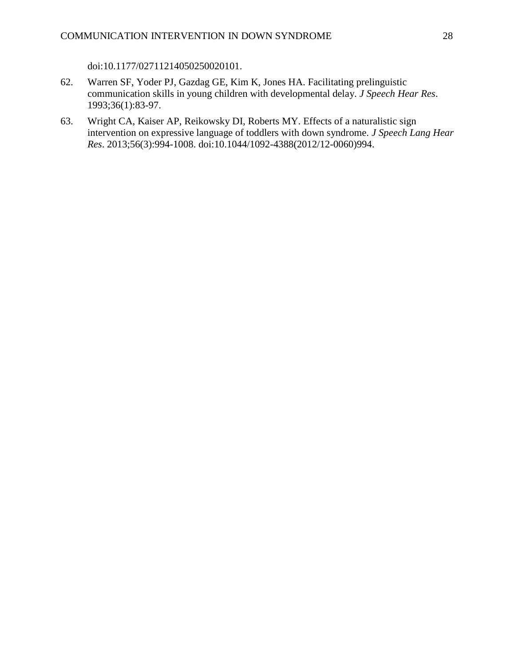doi:10.1177/02711214050250020101.

- 62. Warren SF, Yoder PJ, Gazdag GE, Kim K, Jones HA. Facilitating prelinguistic communication skills in young children with developmental delay. *J Speech Hear Res*. 1993;36(1):83-97.
- 63. Wright CA, Kaiser AP, Reikowsky DI, Roberts MY. Effects of a naturalistic sign intervention on expressive language of toddlers with down syndrome. *J Speech Lang Hear Res*. 2013;56(3):994-1008. doi:10.1044/1092-4388(2012/12-0060)994.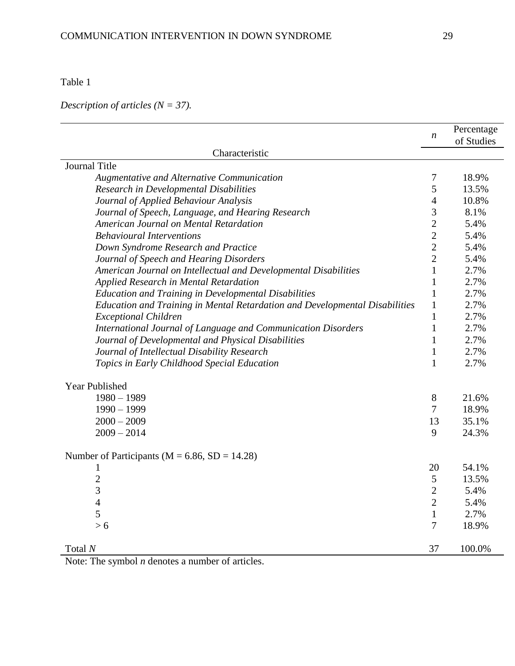Table 1

*Description of articles (N = 37).*

|                                                                             | $\boldsymbol{n}$ | Percentage<br>of Studies |
|-----------------------------------------------------------------------------|------------------|--------------------------|
| Characteristic                                                              |                  |                          |
| Journal Title                                                               |                  |                          |
|                                                                             | 7                | 18.9%                    |
| Augmentative and Alternative Communication                                  | 5                | 13.5%                    |
| Research in Developmental Disabilities                                      |                  |                          |
| Journal of Applied Behaviour Analysis                                       | $\overline{4}$   | 10.8%                    |
| Journal of Speech, Language, and Hearing Research                           | 3                | 8.1%                     |
| American Journal on Mental Retardation                                      | $\overline{2}$   | 5.4%                     |
| <b>Behavioural Interventions</b>                                            | $\overline{2}$   | 5.4%                     |
| Down Syndrome Research and Practice                                         | $\overline{2}$   | 5.4%                     |
| Journal of Speech and Hearing Disorders                                     | $\overline{2}$   | 5.4%                     |
| American Journal on Intellectual and Developmental Disabilities             | $\mathbf{1}$     | 2.7%                     |
| Applied Research in Mental Retardation                                      | $\mathbf{1}$     | 2.7%                     |
| <b>Education and Training in Developmental Disabilities</b>                 | $\mathbf{1}$     | 2.7%                     |
| Education and Training in Mental Retardation and Developmental Disabilities | $\mathbf{1}$     | 2.7%                     |
| <b>Exceptional Children</b>                                                 | $\mathbf{1}$     | 2.7%                     |
| International Journal of Language and Communication Disorders               | $\mathbf{1}$     | 2.7%                     |
| Journal of Developmental and Physical Disabilities                          | $\mathbf{1}$     | 2.7%                     |
| Journal of Intellectual Disability Research                                 | $\mathbf{1}$     | 2.7%                     |
| Topics in Early Childhood Special Education                                 | $\mathbf{1}$     | 2.7%                     |
| Year Published                                                              |                  |                          |
| $1980 - 1989$                                                               | $8\,$            | 21.6%                    |
| $1990 - 1999$                                                               | $\tau$           | 18.9%                    |
| $2000 - 2009$                                                               | 13               | 35.1%                    |
| $2009 - 2014$                                                               | 9                | 24.3%                    |
| Number of Participants ( $M = 6.86$ , $SD = 14.28$ )                        |                  |                          |
| $\mathbf{1}$                                                                | 20               | 54.1%                    |
| $\overline{c}$                                                              | 5                | 13.5%                    |
| $\overline{3}$                                                              | $\mathbf{2}$     | 5.4%                     |
| $\overline{\mathcal{L}}$                                                    | $\overline{2}$   | 5.4%                     |
| 5                                                                           | $\mathbf{1}$     | 2.7%                     |
| > 6                                                                         | 7                | 18.9%                    |
| Total $N$                                                                   | 37               | 100.0%                   |

Note: The symbol *n* denotes a number of articles.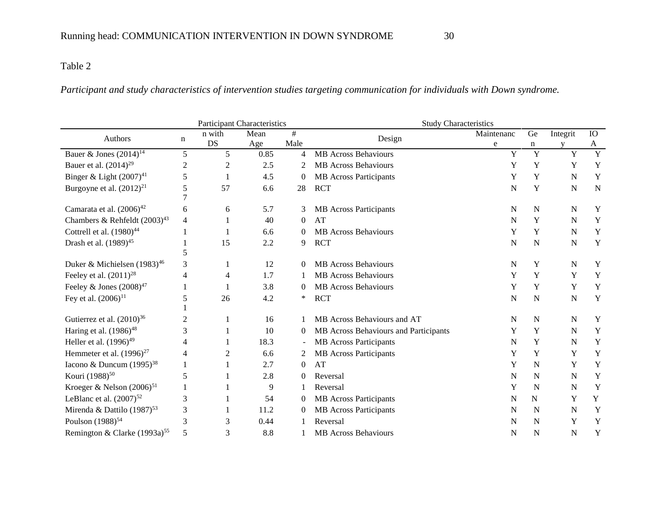### Table 2

### *Participant and study characteristics of intervention studies targeting communication for individuals with Down syndrome.*

|                                          |                     |                | <b>Participant Characteristics</b> |                | <b>Study Characteristics</b>          |             |                |             |             |  |
|------------------------------------------|---------------------|----------------|------------------------------------|----------------|---------------------------------------|-------------|----------------|-------------|-------------|--|
| Authors                                  | n                   | n with         | Mean                               | #              | Design                                | Maintenanc  | Ge             | Integrit    | IO          |  |
|                                          |                     | <b>DS</b>      | Age                                | Male           |                                       | e           | n              |             | A           |  |
| Bauer & Jones $(2014)^{14}$              | 5                   | 5 <sup>5</sup> | 0.85                               | 4              | <b>MB</b> Across Behaviours           | Y           | $\overline{Y}$ | Y           | Y           |  |
| Bauer et al. $(2014)^{29}$               | $\overline{c}$      | $\overline{c}$ | 2.5                                | 2              | <b>MB</b> Across Behaviours           | Y           | Y              | Y           | Y           |  |
| Binger & Light $(2007)^{41}$             | 5                   |                | 4.5                                | $\theta$       | <b>MB</b> Across Participants         | Y           | Y              | N           | Y           |  |
| Burgoyne et al. $(2012)^{21}$            | 5<br>$\overline{7}$ | 57             | 6.6                                | 28             | <b>RCT</b>                            | N           | Y              | $\mathbf N$ | $\mathbf N$ |  |
| Camarata et al. $(2006)^{42}$            | 6                   | 6              | 5.7                                | 3              | <b>MB</b> Across Participants         | $\mathbf N$ | $\mathbf N$    | N           | Y           |  |
| Chambers & Rehfeldt $(2003)^{43}$        | 4                   |                | 40                                 | $\theta$       | AT                                    | N           | Y              | $\mathbf N$ | Y           |  |
| Cottrell et al. $(1980)^{44}$            |                     |                | 6.6                                | 0              | <b>MB</b> Across Behaviours           | Y           | Y              | N           | Y           |  |
| Drash et al. $(1989)^{45}$               | 5                   | 15             | 2.2                                | 9              | <b>RCT</b>                            | $\mathbf N$ | ${\bf N}$      | N           | Y           |  |
| Duker & Michielsen (1983) <sup>46</sup>  | 3                   |                | 12                                 | $\theta$       | <b>MB</b> Across Behaviours           | N           | Y              | N           | Y           |  |
| Feeley et al. $(2011)^{28}$              | 4                   | 4              | 1.7                                | 1              | <b>MB</b> Across Behaviours           | Y           | Y              | Y           | Y           |  |
| Feeley & Jones $(2008)^{47}$             |                     |                | 3.8                                | 0              | <b>MB</b> Across Behaviours           | Y           | Y              | Y           | Y           |  |
| Fey et al. $(2006)^{11}$                 | 5                   | 26             | 4.2                                | *              | <b>RCT</b>                            | $\mathbf N$ | ${\bf N}$      | $\mathbf N$ | Y           |  |
| Gutierrez et al. $(2010)^{36}$           | $\overline{c}$      |                | 16                                 |                | MB Across Behaviours and AT           | N           | $\mathbf N$    | N           | Y           |  |
| Haring et al. (1986) <sup>48</sup>       | 3                   |                | 10                                 | 0              | MB Across Behaviours and Participants | Y           | Y              | N           | Y           |  |
| Heller et al. $(1996)^{49}$              | 4                   |                | 18.3                               | $\blacksquare$ | <b>MB</b> Across Participants         | N           | Y              | N           | $\mathbf Y$ |  |
| Hemmeter et al. $(1996)^{27}$            | 4                   | 2              | 6.6                                |                | <b>MB</b> Across Participants         | Y           | Y              | Y           | Y           |  |
| Iacono & Duncum $(1995)^{38}$            |                     |                | 2.7                                | $\theta$       | AT                                    | Y           | $\mathbf N$    | Y           | Y           |  |
| Kouri (1988) <sup>50</sup>               | 5                   |                | 2.8                                | $\theta$       | Reversal                              | N           | N              | N           | Y           |  |
| Kroeger & Nelson $(2006)^{51}$           |                     |                | 9                                  |                | Reversal                              | Y           | $\mathbf N$    | $\mathbf N$ | Y           |  |
| LeBlanc et al. $(2007)^{52}$             | 3                   |                | 54                                 | $\mathbf{0}$   | <b>MB</b> Across Participants         | N           | N              | Y           | Y           |  |
| Mirenda & Dattilo $(1987)^{53}$          | 3                   |                | 11.2                               | $\mathbf{0}$   | <b>MB</b> Across Participants         | N           | N              | N           | Y           |  |
| Poulson (1988) <sup>54</sup>             | 3                   | 3              | 0.44                               |                | Reversal                              | N           | $\mathbf N$    | Y           | Y           |  |
| Remington & Clarke (1993a) <sup>55</sup> | 5                   | 3              | 8.8                                |                | <b>MB</b> Across Behaviours           | N           | N              | $\mathbf N$ | Y           |  |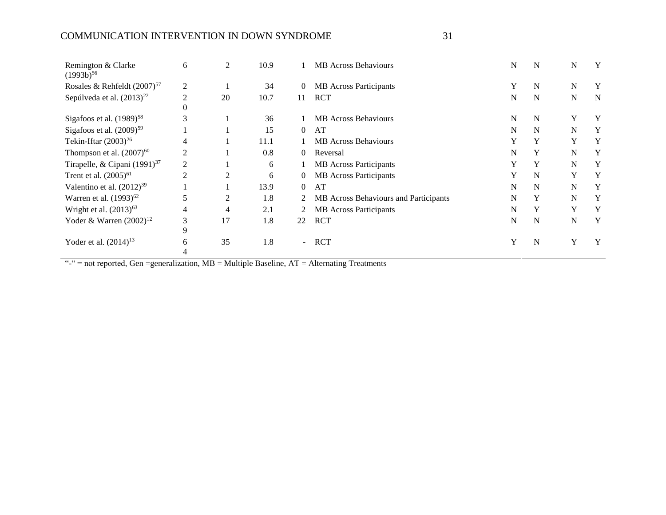### COMMUNICATION INTERVENTION IN DOWN SYNDROME 31

| Remington & Clarke<br>$(1993b)^{56}$     | 6                          | 2  | 10.9 |                | <b>MB</b> Across Behaviours           | N | N | N         | Y           |
|------------------------------------------|----------------------------|----|------|----------------|---------------------------------------|---|---|-----------|-------------|
| Rosales & Rehfeldt $(2007)^{57}$         | 2                          |    | 34   | $\overline{0}$ | <b>MB</b> Across Participants         | Y | N | N         | Y           |
| Sepúlveda et al. $(2013)^{22}$           | $\overline{c}$<br>$\Omega$ | 20 | 10.7 | 11             | <b>RCT</b>                            | N | N | ${\bf N}$ | $\mathbf N$ |
| Sigafoos et al. $(1989)^{58}$            | 3                          |    | 36   |                | <b>MB</b> Across Behaviours           | N | N | Y         | Y           |
| Sigafoos et al. $(2009)^{59}$            |                            |    | 15   | $\Omega$       | AT                                    | N | N | N         | Y           |
| Tekin-Iftar $(2003)^{26}$                | 4                          |    | 11.1 |                | <b>MB</b> Across Behaviours           | Y | Y | Y         | Y           |
| Thompson et al. $(2007)^{60}$            | $\overline{c}$             |    | 0.8  | $\Omega$       | Reversal                              | N | Y | N         | Y           |
| Tirapelle, & Cipani (1991) <sup>37</sup> | 2                          |    | 6    |                | <b>MB</b> Across Participants         |   | Y | N         | Y           |
| Trent et al. $(2005)^{61}$               | 2                          | 2  | 6    | 0              | <b>MB</b> Across Participants         | Y | N | Y         | Y           |
| Valentino et al. $(2012)^{39}$           |                            |    | 13.9 | $\theta$       | AT                                    | N | N | N         | Y           |
| Warren et al. $(1993)^{62}$              | 5                          | 2  | 1.8  |                | MB Across Behaviours and Participants | N | Y | N         | Y           |
| Wright et al. $(2013)^{63}$              | 4                          | 4  | 2.1  |                | <b>MB</b> Across Participants         | N | Y | Y         | Y           |
| Yoder & Warren $(2002)^{12}$             | 3<br>9                     | 17 | 1.8  | 22             | <b>RCT</b>                            | N | N | N         | Y           |
| Yoder et al. $(2014)^{13}$               | 6                          | 35 | 1.8  | ÷.             | <b>RCT</b>                            | Y | N | Y         | Y           |

 $"``-" = not reported, Gen = generalization, MB = Multiple Baseline, AT = Alternating Treatments"$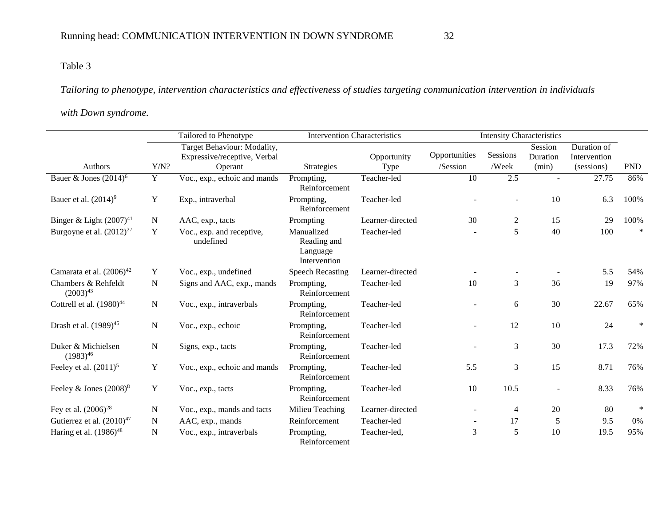### Table 3

*Tailoring to phenotype, intervention characteristics and effectiveness of studies targeting communication intervention in individuals* 

### *with Down syndrome.*

|                                      |                | Tailored to Phenotype                                                  | <b>Intervention Characteristics</b>                   |                     |                           | <b>Intensity Characteristics</b> |                              |                                           |            |
|--------------------------------------|----------------|------------------------------------------------------------------------|-------------------------------------------------------|---------------------|---------------------------|----------------------------------|------------------------------|-------------------------------------------|------------|
| Authors                              | Y/N?           | Target Behaviour: Modality,<br>Expressive/receptive, Verbal<br>Operant | <b>Strategies</b>                                     | Opportunity<br>Type | Opportunities<br>/Session | Sessions<br>/Week                | Session<br>Duration<br>(min) | Duration of<br>Intervention<br>(sessions) | <b>PND</b> |
| Bauer & Jones $(2014)^6$             | $\overline{Y}$ | Voc., exp., echoic and mands                                           | Prompting,<br>Reinforcement                           | Teacher-led         | $\overline{10}$           | 2.5                              |                              | 27.75                                     | 86%        |
| Bauer et al. $(2014)^9$              | $\mathbf Y$    | Exp., intraverbal                                                      | Prompting,<br>Reinforcement                           | Teacher-led         |                           |                                  | 10                           | 6.3                                       | 100%       |
| Binger & Light $(2007)^{41}$         | N              | AAC, exp., tacts                                                       | Prompting                                             | Learner-directed    | 30                        | $\boldsymbol{2}$                 | 15                           | 29                                        | 100%       |
| Burgoyne et al. $(2012)^{27}$        | Y              | Voc., exp. and receptive,<br>undefined                                 | Manualized<br>Reading and<br>Language<br>Intervention | Teacher-led         |                           | 5                                | 40                           | 100                                       | $\ast$     |
| Camarata et al. $(2006)^{42}$        | Y              | Voc., exp., undefined                                                  | <b>Speech Recasting</b>                               | Learner-directed    |                           |                                  |                              | 5.5                                       | 54%        |
| Chambers & Rehfeldt<br>$(2003)^{43}$ | N              | Signs and AAC, exp., mands                                             | Prompting,<br>Reinforcement                           | Teacher-led         | 10                        | 3                                | 36                           | 19                                        | 97%        |
| Cottrell et al. $(1980)^{44}$        | $\mathbf N$    | Voc., exp., intraverbals                                               | Prompting,<br>Reinforcement                           | Teacher-led         |                           | 6                                | 30                           | 22.67                                     | 65%        |
| Drash et al. (1989) <sup>45</sup>    | N              | Voc., exp., echoic                                                     | Prompting,<br>Reinforcement                           | Teacher-led         |                           | 12                               | 10                           | 24                                        | $\ast$     |
| Duker & Michielsen<br>$(1983)^{46}$  | N              | Signs, exp., tacts                                                     | Prompting,<br>Reinforcement                           | Teacher-led         |                           | 3                                | 30                           | 17.3                                      | 72%        |
| Feeley et al. $(2011)^5$             | Y              | Voc., exp., echoic and mands                                           | Prompting,<br>Reinforcement                           | Teacher-led         | 5.5                       | 3                                | 15                           | 8.71                                      | 76%        |
| Feeley & Jones $(2008)^8$            | Y              | Voc., exp., tacts                                                      | Prompting,<br>Reinforcement                           | Teacher-led         | 10                        | 10.5                             | $\overline{a}$               | 8.33                                      | 76%        |
| Fey et al. $(2006)^{28}$             | $\mathbf N$    | Voc., exp., mands and tacts                                            | Milieu Teaching                                       | Learner-directed    |                           | 4                                | 20                           | 80                                        | $\ast$     |
| Gutierrez et al. $(2010)^{47}$       | N              | AAC, exp., mands                                                       | Reinforcement                                         | Teacher-led         |                           | 17                               | 5                            | 9.5                                       | $0\%$      |
| Haring et al. $(1986)^{48}$          | N              | Voc., exp., intraverbals                                               | Prompting,<br>Reinforcement                           | Teacher-led,        | 3                         | 5                                | 10                           | 19.5                                      | 95%        |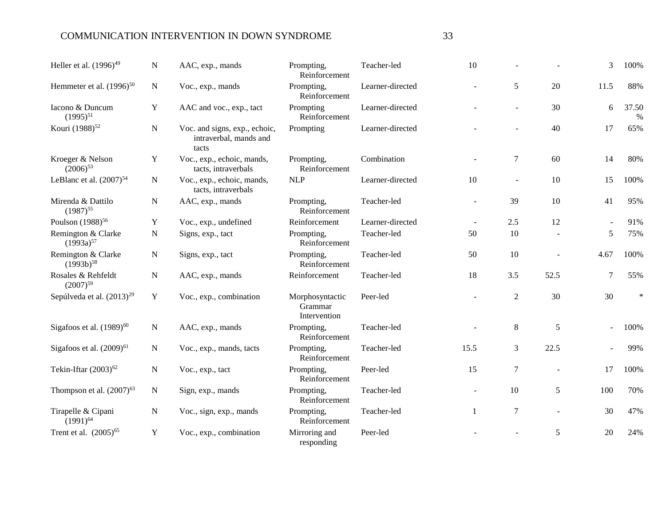### COMMUNICATION INTERVENTION IN DOWN SYNDROME 33

| Heller et al. (1996) <sup>49</sup>    | N           | AAC, exp., mands                                                 | Prompting,<br>Reinforcement                | Teacher-led      | 10     |                |      | 3    | 100%          |
|---------------------------------------|-------------|------------------------------------------------------------------|--------------------------------------------|------------------|--------|----------------|------|------|---------------|
| Hemmeter et al. $(1996)^{50}$         | N           | Voc., exp., mands                                                | Prompting,<br>Reinforcement                | Learner-directed |        | 5              | 20   | 11.5 | 88%           |
| Iacono & Duncum<br>$(1995)^{51}$      | Y           | AAC and voc., exp., tact                                         | Prompting<br>Reinforcement                 | Learner-directed |        |                | 30   | 6    | 37.50<br>$\%$ |
| Kouri (1988) <sup>52</sup>            | N           | Voc. and signs, exp., echoic,<br>intraverbal, mands and<br>tacts | Prompting                                  | Learner-directed |        |                | 40   | 17   | 65%           |
| Kroeger & Nelson<br>$(2006)^{53}$     | $\mathbf Y$ | Voc., exp., echoic, mands,<br>tacts, intraverbals                | Prompting,<br>Reinforcement                | Combination      |        | 7              | 60   | 14   | 80%           |
| LeBlanc et al. $(2007)^{54}$          | $\mathbf N$ | Voc., exp., echoic, mands,<br>tacts, intraverbals                | <b>NLP</b>                                 | Learner-directed | 10     |                | 10   | 15   | 100%          |
| Mirenda & Dattilo<br>$(1987)^{55}$    | $\mathbf N$ | AAC, exp., mands                                                 | Prompting,<br>Reinforcement                | Teacher-led      |        | 39             | 10   | 41   | 95%           |
| Poulson (1988) <sup>56</sup>          | Y           | Voc., exp., undefined                                            | Reinforcement                              | Learner-directed |        | 2.5            | 12   |      | 91%           |
| Remington & Clarke<br>$(1993a)^{57}$  | N           | Signs, exp., tact                                                | Prompting,<br>Reinforcement                | Teacher-led      | 50     | 10             |      | 5    | 75%           |
| Remington & Clarke<br>$(1993b)^{58}$  | N           | Signs, exp., tact                                                | Prompting,<br>Reinforcement                | Teacher-led      | 50     | 10             |      | 4.67 | 100%          |
| Rosales & Rehfeldt<br>$(2007)^{59}$   | ${\bf N}$   | AAC, exp., mands                                                 | Reinforcement                              | Teacher-led      | 18     | 3.5            | 52.5 | 7    | 55%           |
| Sepúlveda et al. (2013) <sup>29</sup> | Y           | Voc., exp., combination                                          | Morphosyntactic<br>Grammar<br>Intervention | Peer-led         |        | $\overline{2}$ | 30   | 30   | *             |
| Sigafoos et al. (1989) <sup>60</sup>  | N           | AAC, exp., mands                                                 | Prompting,<br>Reinforcement                | Teacher-led      |        | 8              | 5    |      | 100%          |
| Sigafoos et al. (2009) <sup>61</sup>  | N           | Voc., exp., mands, tacts                                         | Prompting,<br>Reinforcement                | Teacher-led      | 15.5   | 3              | 22.5 |      | 99%           |
| Tekin-Iftar $(2003)^{62}$             | N           | Voc., exp., tact                                                 | Prompting,<br>Reinforcement                | Peer-led         | 15     | $\tau$         |      | 17   | 100%          |
| Thompson et al. $(2007)^{63}$         | N           | Sign, exp., mands                                                | Prompting,<br>Reinforcement                | Teacher-led      | $\sim$ | 10             | 5    | 100  | 70%           |
| Tirapelle & Cipani<br>$(1991)^{64}$   | ${\bf N}$   | Voc., sign, exp., mands                                          | Prompting,<br>Reinforcement                | Teacher-led      | 1      | $\overline{7}$ |      | 30   | 47%           |
| Trent et al. (2005) <sup>65</sup>     | Y           | Voc., exp., combination                                          | Mirroring and<br>responding                | Peer-led         |        |                | 5    | 20   | 24%           |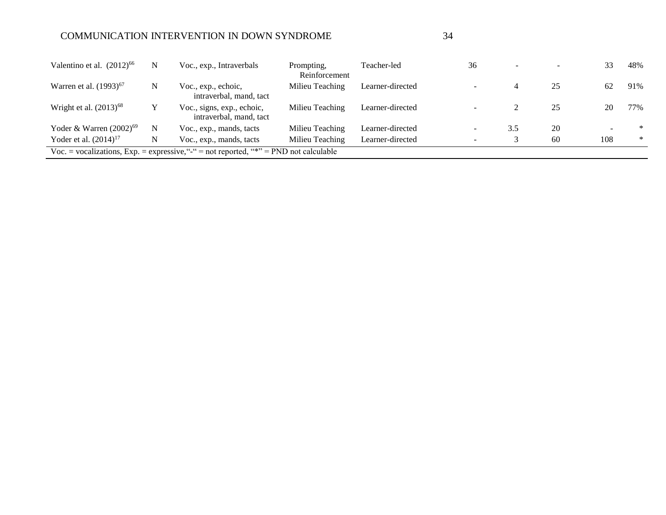### COMMUNICATION INTERVENTION IN DOWN SYNDROME 34

| Valentino et al. $(2012)^{66}$     | N | Voc., exp., Intraverbals                                                                | Prompting.<br>Reinforcement | Teacher-led      | 36                       |     |    | 33  | 48%    |
|------------------------------------|---|-----------------------------------------------------------------------------------------|-----------------------------|------------------|--------------------------|-----|----|-----|--------|
| Warren et al. (1993) <sup>67</sup> | N | Voc., exp., echoic,<br>intraverbal, mand, tact                                          | Milieu Teaching             | Learner-directed | $\overline{\phantom{a}}$ |     | 25 | 62  | 91%    |
| Wright et al. $(2013)^{68}$        |   | Voc., signs, exp., echoic,<br>intraverbal, mand, tact                                   | Milieu Teaching             | Learner-directed |                          |     | 25 | 20  | 77%    |
| Yoder & Warren $(2002)^{69}$       | N | Voc., exp., mands, tacts                                                                | Milieu Teaching             | Learner-directed | $\overline{\phantom{a}}$ | 3.5 | 20 |     | $*$    |
| Yoder et al. $(2014)^{17}$         | N | Voc., exp., mands, tacts                                                                | Milieu Teaching             | Learner-directed | -                        |     | 60 | 108 | $\ast$ |
|                                    |   | Voc. = vocalizations, $Exp.$ = expressive, "-" = not reported, "*" = PND not calculable |                             |                  |                          |     |    |     |        |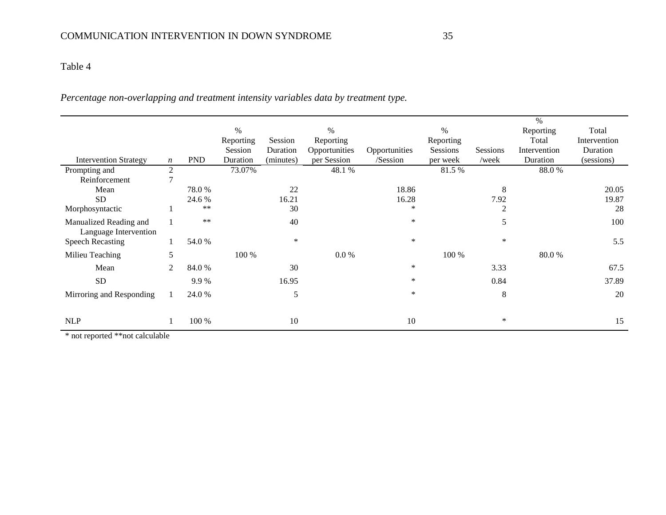### Table 4

*Percentage non-overlapping and treatment intensity variables data by treatment type.*

|                                                 |                  |            |           |           |               |               |           |                 | $\frac{0}{0}$ |              |
|-------------------------------------------------|------------------|------------|-----------|-----------|---------------|---------------|-----------|-----------------|---------------|--------------|
|                                                 |                  |            | $\%$      |           | $\%$          |               | $\%$      |                 | Reporting     | Total        |
|                                                 |                  |            | Reporting | Session   | Reporting     |               | Reporting |                 | Total         | Intervention |
|                                                 |                  |            | Session   | Duration  | Opportunities | Opportunities | Sessions  | <b>Sessions</b> | Intervention  | Duration     |
| <b>Intervention Strategy</b>                    | $\boldsymbol{n}$ | <b>PND</b> | Duration  | (minutes) | per Session   | /Session      | per week  | /week           | Duration      | (sessions)   |
| Prompting and                                   | $\mathfrak{2}$   |            | 73.07%    |           | 48.1 %        |               | 81.5 %    |                 | 88.0%         |              |
| Reinforcement                                   | ┑                |            |           |           |               |               |           |                 |               |              |
| Mean                                            |                  | 78.0%      |           | 22        |               | 18.86         |           | 8               |               | 20.05        |
| <b>SD</b>                                       |                  | 24.6 %     |           | 16.21     |               | 16.28         |           | 7.92            |               | 19.87        |
| Morphosyntactic                                 |                  | **         |           | 30        |               | ∗             |           | 2               |               | 28           |
| Manualized Reading and<br>Language Intervention |                  | $***$      |           | 40        |               | $\ast$        |           | 5               |               | 100          |
| <b>Speech Recasting</b>                         |                  | 54.0 %     |           | $\ast$    |               | $\ast$        |           | $\ast$          |               | 5.5          |
| Milieu Teaching                                 | 5                |            | 100 %     |           | $0.0 \%$      |               | 100 %     |                 | 80.0%         |              |
| Mean                                            | 2                | 84.0%      |           | 30        |               | ∗             |           | 3.33            |               | 67.5         |
| <b>SD</b>                                       |                  | 9.9%       |           | 16.95     |               | ∗             |           | 0.84            |               | 37.89        |
| Mirroring and Responding                        |                  | 24.0%      |           | 5         |               | ∗             |           | 8               |               | 20           |
| <b>NLP</b>                                      |                  | 100 %      |           | 10        |               | 10            |           | ∗               |               | 15           |

\* not reported \*\*not calculable